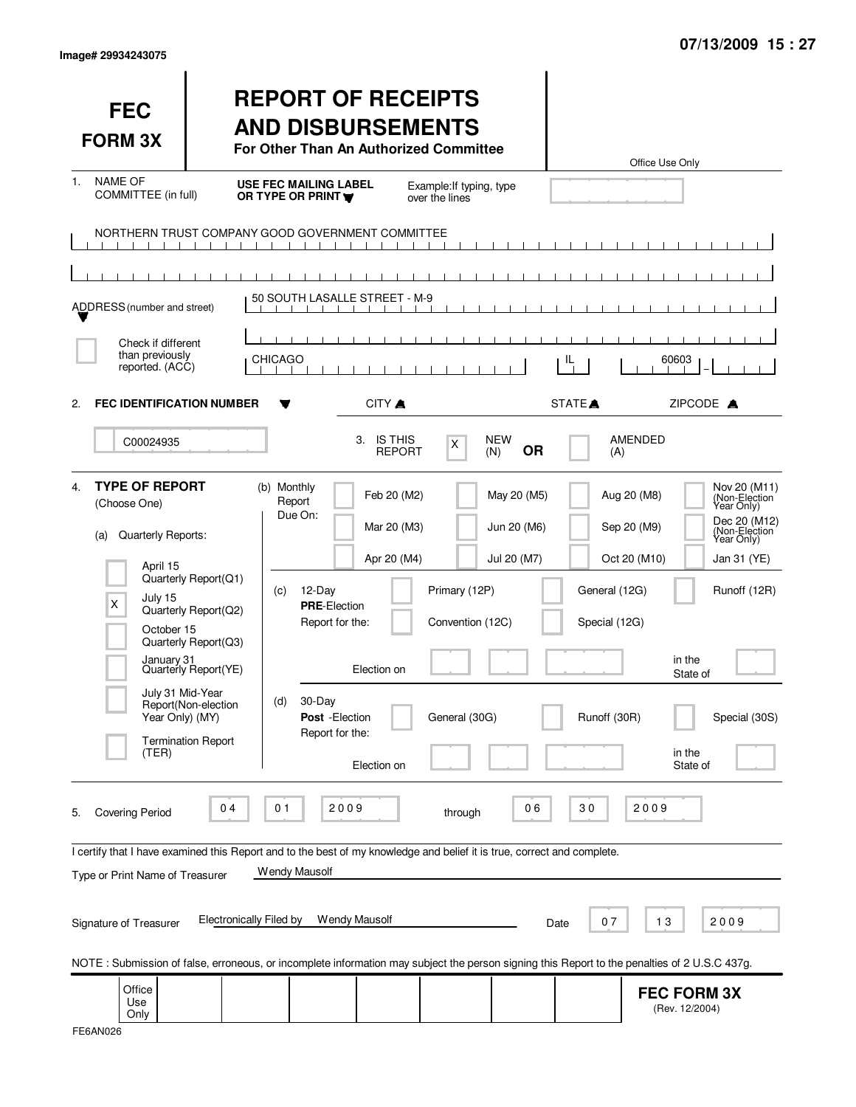| Image# 29934243075 |  |
|--------------------|--|
|                    |  |

| <b>FEC</b><br><b>FORM 3X</b>                                                                                                                                                               |                                                                                                                                                  | <b>REPORT OF RECEIPTS</b><br><b>AND DISBURSEMENTS</b><br>For Other Than An Authorized Committee                                                    |                                                                         |                                                    |                                           |                                                | Office Use Only                                                                                                                                                                                                                      |
|--------------------------------------------------------------------------------------------------------------------------------------------------------------------------------------------|--------------------------------------------------------------------------------------------------------------------------------------------------|----------------------------------------------------------------------------------------------------------------------------------------------------|-------------------------------------------------------------------------|----------------------------------------------------|-------------------------------------------|------------------------------------------------|--------------------------------------------------------------------------------------------------------------------------------------------------------------------------------------------------------------------------------------|
| <b>NAME OF</b><br>1.<br>COMMITTEE (in full)                                                                                                                                                |                                                                                                                                                  | <b>USE FEC MAILING LABEL</b><br>OR TYPE OR PRINT                                                                                                   |                                                                         | Example: If typing, type<br>over the lines         |                                           |                                                |                                                                                                                                                                                                                                      |
|                                                                                                                                                                                            | $\mathbf{1}$ $\mathbf{1}$<br>$\blacksquare$                                                                                                      | NORTHERN TRUST COMPANY GOOD GOVERNMENT COMMITTEE<br>$\mathbf{1}$ and $\mathbf{1}$<br>$\blacksquare$<br>$\blacksquare$                              | $\blacksquare$                                                          |                                                    |                                           |                                                |                                                                                                                                                                                                                                      |
| ADDRESS (number and street)                                                                                                                                                                |                                                                                                                                                  | 50 SOUTH LASALLE STREET - M-9                                                                                                                      |                                                                         |                                                    |                                           |                                                |                                                                                                                                                                                                                                      |
| Check if different<br>than previously<br>reported. (ACC)                                                                                                                                   |                                                                                                                                                  | <b>CHICAGO</b>                                                                                                                                     |                                                                         |                                                    |                                           | IL.                                            | 60603                                                                                                                                                                                                                                |
| <b>FEC IDENTIFICATION NUMBER</b><br>2.                                                                                                                                                     |                                                                                                                                                  |                                                                                                                                                    | CITY A                                                                  |                                                    |                                           | STATE <sup>A</sup>                             | ZIPCODE A                                                                                                                                                                                                                            |
| C00024935                                                                                                                                                                                  |                                                                                                                                                  |                                                                                                                                                    | 3. IS THIS<br><b>REPORT</b>                                             | X                                                  | <b>NEW</b><br><b>OR</b><br>(N)            | (A)                                            | AMENDED                                                                                                                                                                                                                              |
| <b>TYPE OF REPORT</b><br>4.<br>(Choose One)<br>Quarterly Reports:<br>(a)<br>April 15<br>July 15<br>X<br>October 15<br>January 31<br>July 31 Mid-Year<br>Year Only) (MY)<br>(TER)           | Quarterly Report(Q1)<br>Quarterly Report(Q2)<br>Quarterly Report(Q3)<br>Quarterly Report(YE)<br>Report(Non-election<br><b>Termination Report</b> | (b) Monthly<br>Report<br>Due On:<br>12-Day<br>(c)<br><b>PRE-Election</b><br>Report for the:<br>30-Day<br>(d)<br>Post - Election<br>Report for the: | Feb 20 (M2)<br>Mar 20 (M3)<br>Apr 20 (M4)<br>Election on<br>Election on | Primary (12P)<br>Convention (12C)<br>General (30G) | May 20 (M5)<br>Jun 20 (M6)<br>Jul 20 (M7) | General (12G)<br>Special (12G)<br>Runoff (30R) | Nov 20 (M11)<br>(Non-Election<br>Year Only)<br>Aug 20 (M8)<br>Dec 20 (M12)<br>(Non-Election<br>Year Only)<br>Sep 20 (M9)<br>Oct 20 (M10)<br>Jan 31 (YE)<br>Runoff (12R)<br>in the<br>State of<br>Special (30S)<br>in the<br>State of |
| <b>Covering Period</b><br>5.<br>I certify that I have examined this Report and to the best of my knowledge and belief it is true, correct and complete.<br>Type or Print Name of Treasurer | 0 <sub>4</sub>                                                                                                                                   | 2009<br>01<br>Wendy Mausolf                                                                                                                        |                                                                         | through                                            | 06                                        | 30                                             | 2009                                                                                                                                                                                                                                 |
| Signature of Treasurer                                                                                                                                                                     | Electronically Filed by                                                                                                                          |                                                                                                                                                    | <b>Wendy Mausolf</b>                                                    |                                                    |                                           | 07<br>Date                                     | 13<br>2009                                                                                                                                                                                                                           |
|                                                                                                                                                                                            |                                                                                                                                                  |                                                                                                                                                    |                                                                         |                                                    |                                           |                                                | NOTE: Submission of false, erroneous, or incomplete information may subject the person signing this Report to the penalties of 2 U.S.C 437g.                                                                                         |
| Office<br>Use<br>Only                                                                                                                                                                      |                                                                                                                                                  |                                                                                                                                                    |                                                                         |                                                    |                                           |                                                | <b>FEC FORM 3X</b><br>(Rev. 12/2004)                                                                                                                                                                                                 |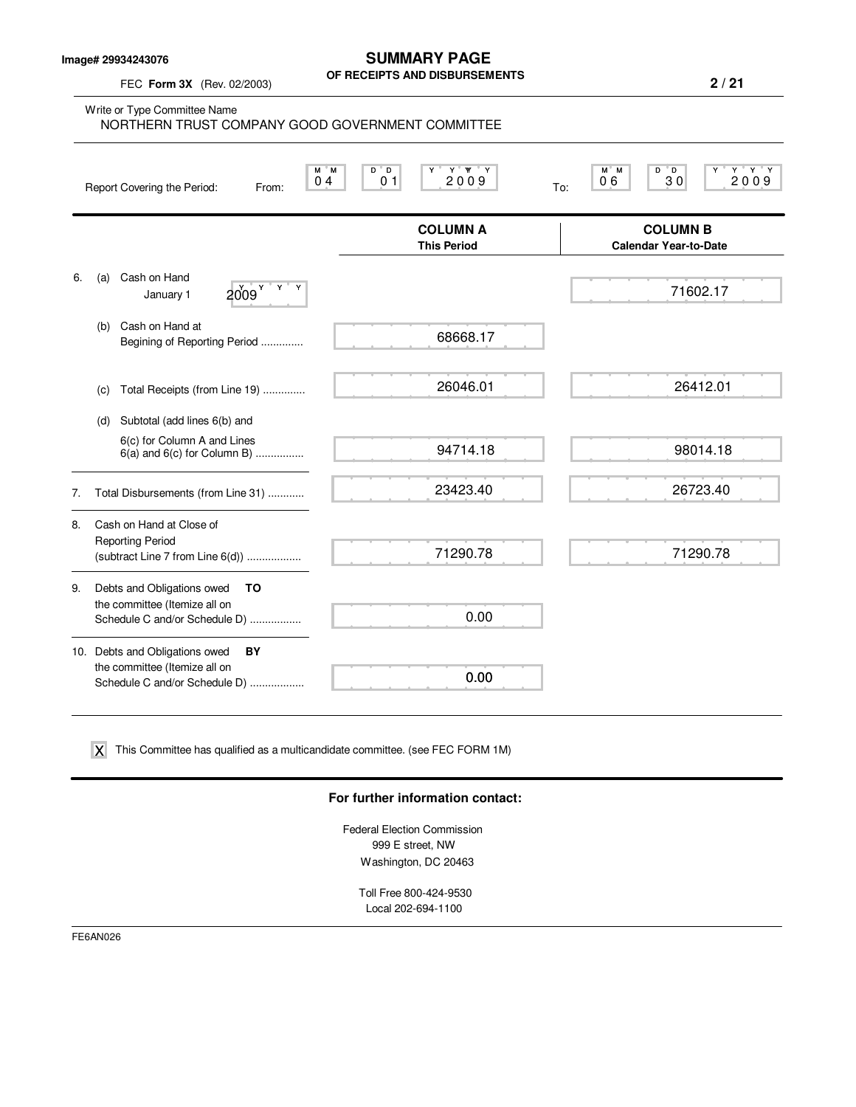**Image# 29934243076**

FEC **Form 3X** (Rev. 02/2003)

#### **SUMMARY PAGE OF RECEIPTS AND DISBURSEMENTS**

**2 / 21**

Write or Type Committee Name M M D D Y Y YY Y M M D D Y Y Y Y Report Covering the Period: From: 04 01 2009 To: **COLUMN A** COLUMN B<br>
This Period Calendar Year-to-Da **Calendar Year-to-Date** 6. (a) Cash on Hand January  $1$   $2009$ <sup>Y</sup> (b) Cash on Hand at Begining of Reporting Period .............. (c) Total Receipts (from Line 19) .............. (d) Subtotal (add lines 6(b) and 6(c) for Column A and Lines 6(a) and 6(c) for Column B) ................ 7. Total Disbursements (from Line 31) ............ 8. Cash on Hand at Close of Reporting Period (subtract Line 7 from Line 6(d)) .................. 9. Debts and Obligations owed **TO** the committee (Itemize all on Schedule C and/or Schedule D) ................. 10. Debts and Obligations owed **BY** the committee (Itemize all on Schedule C and/or Schedule D) ................. 0 4 0 1 200 9 1 1 200 9 1 200 9 NORTHERN TRUST COMPANY GOOD GOVERNMENT COMMITTEE 68668.17 26046.01 94714.18 23423.40 71290.78 0.00 0.00  $2009$ <sup>Y</sup> <sup>Y</sup> Y 26412.01 98014.18 26723.40 71290.78

 $\boldsymbol{\mathsf{X}}$  This Committee has qualified as a multicandidate committee. (see FEC FORM 1M)

#### **For further information contact:**

Federal Election Commission 999 E street, NW Washington, DC 20463

Toll Free 800-424-9530 Local 202-694-1100

FE6AN026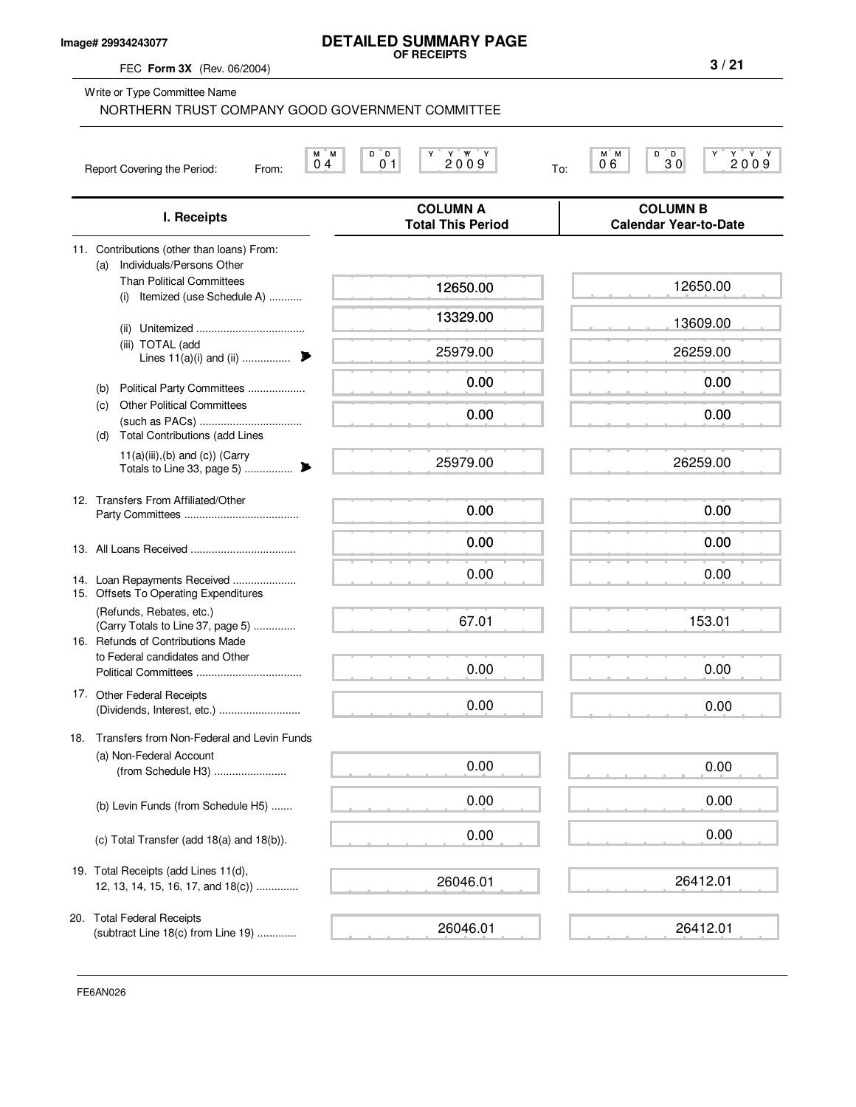#### **Image# 29934243077**

# **DETAILED SUMMARY PAGE OF RECEIPTS**

FEC **Form 3X** (Rev. 06/2004)

Write or Type Committee Name

|     | Individuals/Persons Other<br>(a)                                                                                 |          |          |
|-----|------------------------------------------------------------------------------------------------------------------|----------|----------|
|     | <b>Than Political Committees</b><br>Itemized (use Schedule A)<br>(i)                                             | 12650.00 | 12650.00 |
|     |                                                                                                                  | 13329.00 | 13609.00 |
|     | (iii) TOTAL (add<br>Lines $11(a)(i)$ and (ii)                                                                    | 25979.00 | 26259.00 |
|     | Political Party Committees<br>(b)                                                                                | 0.00     | 0.00     |
|     | <b>Other Political Committees</b><br>(C)                                                                         | 0.00     | 0.00     |
|     | <b>Total Contributions (add Lines</b><br>(d)<br>$11(a)(iii)$ , (b) and (c)) (Carry<br>Totals to Line 33, page 5) | 25979.00 | 26259.00 |
|     | 12. Transfers From Affiliated/Other                                                                              | 0.00     | 0.00     |
|     |                                                                                                                  | 0.00     | 0.00     |
|     | 14. Loan Repayments Received<br>15. Offsets To Operating Expenditures                                            | 0.00     | 0.00     |
|     | (Refunds, Rebates, etc.)<br>(Carry Totals to Line 37, page 5)<br>16. Refunds of Contributions Made               | 67.01    | 153.01   |
|     | to Federal candidates and Other                                                                                  | 0.00     | 0.00     |
|     | 17. Other Federal Receipts                                                                                       | 0.00     | 0.00     |
| 18. | Transfers from Non-Federal and Levin Funds                                                                       |          |          |
|     | (a) Non-Federal Account<br>(from Schedule H3)                                                                    | 0.00     | 0.00     |
|     | (b) Levin Funds (from Schedule H5)                                                                               | 0.00     | 0.00     |
|     | (c) Total Transfer (add $18(a)$ and $18(b)$ ).                                                                   | 0.00     | 0.00     |
|     | 19. Total Receipts (add Lines 11(d),<br>12, 13, 14, 15, 16, 17, and $18(c)$ )                                    | 26046.01 | 26412.01 |
|     | 20. Total Federal Receipts<br>(subtract Line 18(c) from Line 19)                                                 | 26046.01 | 26412.01 |
|     |                                                                                                                  |          |          |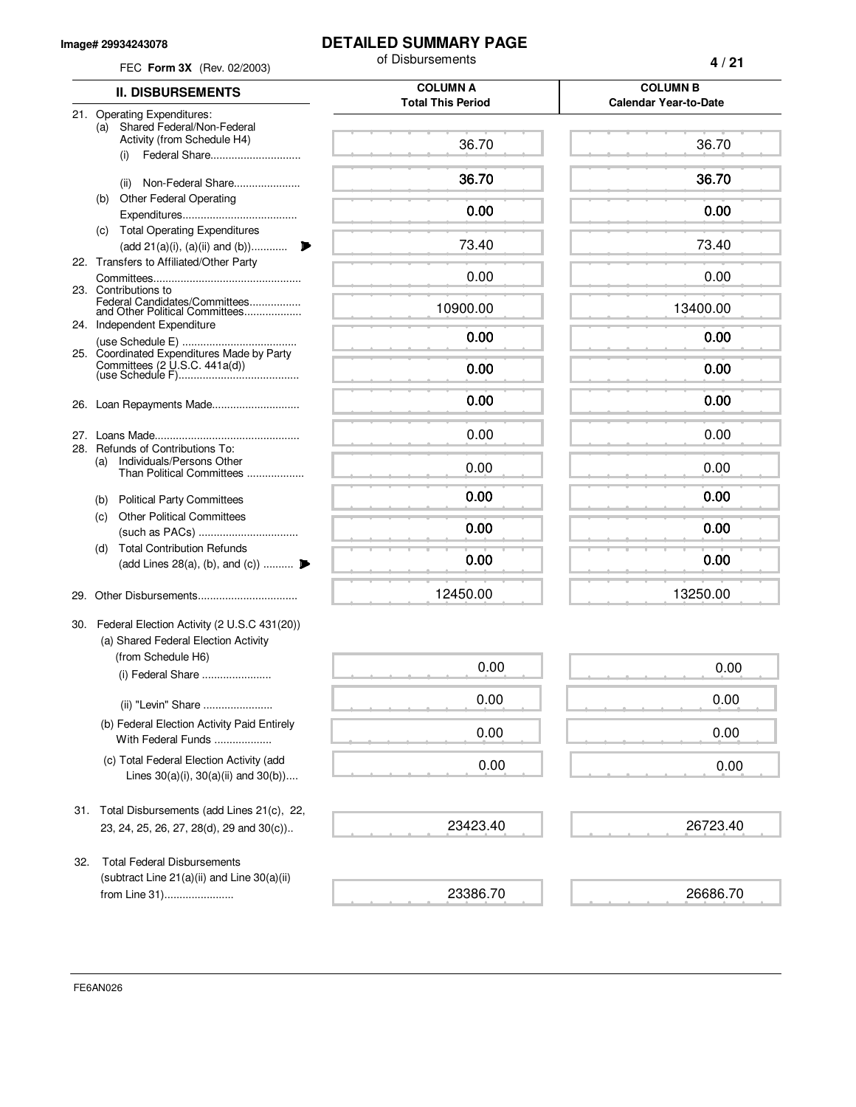#### **Image# 29934243078**

# **DETAILED SUMMARY PAGE**

| FEC Form 3X (Rev. 02/2003)                                                                                    | of Disbursements         | 4/21                         |  |
|---------------------------------------------------------------------------------------------------------------|--------------------------|------------------------------|--|
| <b>II. DISBURSEMENTS</b>                                                                                      | <b>COLUMN A</b>          | <b>COLUMN B</b>              |  |
| 21. Operating Expenditures:                                                                                   | <b>Total This Period</b> | <b>Calendar Year-to-Date</b> |  |
| Shared Federal/Non-Federal<br>(a)<br>Activity (from Schedule H4)<br>(i)                                       | 36.70                    | 36.70                        |  |
| Non-Federal Share<br>(ii)                                                                                     | 36.70                    | 36.70                        |  |
| <b>Other Federal Operating</b><br>(b)                                                                         | 0.00                     | 0.00                         |  |
| (c) Total Operating Expenditures<br>(add 21(a)(i), (a)(ii) and (b))                                           | 73.40                    | 73.40                        |  |
| 22. Transfers to Affiliated/Other Party                                                                       | 0.00                     | 0.00                         |  |
| 23. Contributions to<br>Federal Candidates/Committees<br>and Other Political Committees                       | 10900.00                 | 13400.00                     |  |
| 24. Independent Expenditure                                                                                   | 0.00                     | 0.00                         |  |
| 25. Coordinated Expenditures Made by Party                                                                    | 0.00                     | 0.00                         |  |
|                                                                                                               |                          |                              |  |
|                                                                                                               | 0.00                     | 0.00                         |  |
| 28. Refunds of Contributions To:                                                                              | 0.00                     | 0.00                         |  |
| Individuals/Persons Other<br>(a)<br>Than Political Committees                                                 | 0.00                     | 0.00                         |  |
| <b>Political Party Committees</b><br>(b)                                                                      | 0.00                     | 0.00                         |  |
| <b>Other Political Committees</b><br>(c)                                                                      | 0.00                     | 0.00                         |  |
| <b>Total Contribution Refunds</b><br>(d)<br>(add Lines 28(a), (b), and (c))                                   | 0.00                     | 0.00                         |  |
| 29.                                                                                                           | 12450.00                 | 13250.00                     |  |
| 30. Federal Election Activity (2 U.S.C 431(20))<br>(a) Shared Federal Election Activity<br>(from Schedule H6) |                          |                              |  |
| (i) Federal Share                                                                                             | 0.00                     | 0.00                         |  |
| (ii) "Levin" Share                                                                                            | 0.00                     | 0.00                         |  |
| (b) Federal Election Activity Paid Entirely<br>With Federal Funds                                             | 0.00                     | 0.00                         |  |
| (c) Total Federal Election Activity (add<br>Lines $30(a)(i)$ , $30(a)(ii)$ and $30(b)$ )                      | 0.00                     | 0.00                         |  |
| Total Disbursements (add Lines 21(c), 22,<br>31.                                                              |                          |                              |  |
| 23, 24, 25, 26, 27, 28(d), 29 and 30(c))                                                                      | 23423.40                 | 26723.40                     |  |
| <b>Total Federal Disbursements</b><br>32.<br>(subtract Line $21(a)(ii)$ and Line $30(a)(ii)$                  |                          |                              |  |
| from Line 31)                                                                                                 | 23386.70                 | 26686.70                     |  |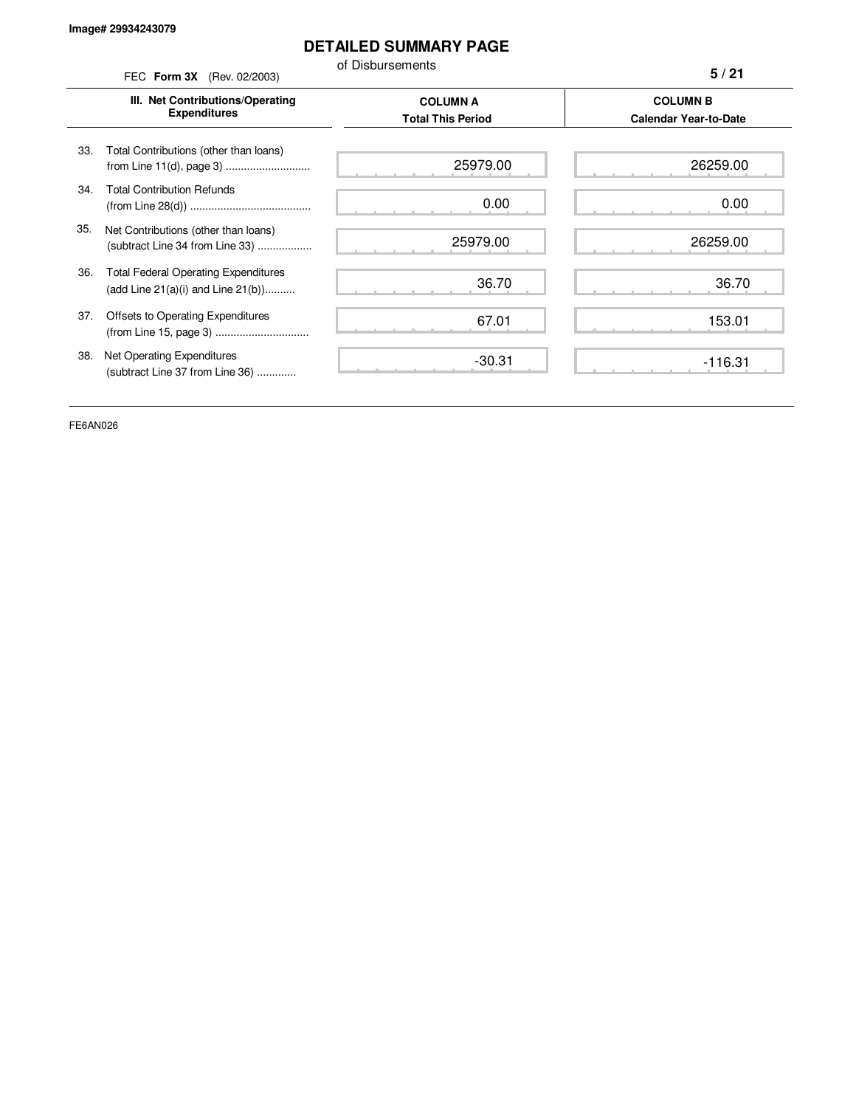## **DETAILED SUMMARY PAGE**

of Disbursements

FEC **Form 3X** (Rev. 02/2003) **III. Net Contributions/Operating Expenditures COLUMN A COLUMN B Total This Period Calendar Year-to-Date** from Line 11(d), page 3) ............................ 33. Total Contributions (other than loans) 34. Total Contribution Refunds (from Line 28(d)) ........................................ 35. Net Contributions (other than loans) (subtract Line 34 from Line 33) .................. 36. Total Federal Operating Expenditures (add Line 21(a)(i) and Line 21(b)).......... 37. Offsets to Operating Expenditures (from Line 15, page 3) ............................... 38. Net Operating Expenditures (subtract Line 37 from Line 36) ............. **5 / 21** 25979.00 0.00 25979.00 36.70 67.01 -30.31 26259.00 0.00 26259.00 36.70 153.01 -116.31

FE6AN026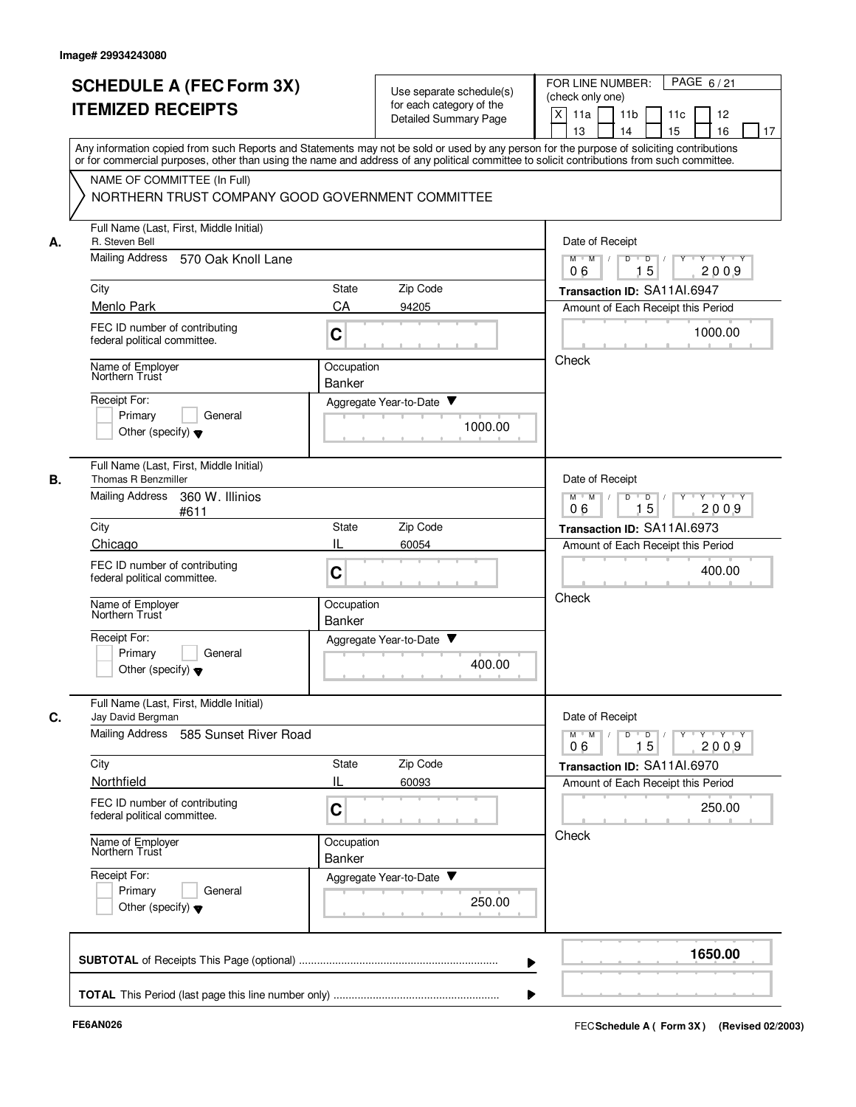|      |                                                                                                       | Detailed Summary Page                                                                                                                                                                                                                                                                   | X<br>11 <sub>b</sub><br>11a<br>11c<br>12                                                                                                    |
|------|-------------------------------------------------------------------------------------------------------|-----------------------------------------------------------------------------------------------------------------------------------------------------------------------------------------------------------------------------------------------------------------------------------------|---------------------------------------------------------------------------------------------------------------------------------------------|
|      |                                                                                                       | Any information copied from such Reports and Statements may not be sold or used by any person for the purpose of soliciting contributions<br>or for commercial purposes, other than using the name and address of any political committee to solicit contributions from such committee. | 15<br>13<br>14<br>16<br>17                                                                                                                  |
|      | NAME OF COMMITTEE (In Full)<br>NORTHERN TRUST COMPANY GOOD GOVERNMENT COMMITTEE                       |                                                                                                                                                                                                                                                                                         |                                                                                                                                             |
| А.   | Full Name (Last, First, Middle Initial)<br>R. Steven Bell                                             |                                                                                                                                                                                                                                                                                         | Date of Receipt                                                                                                                             |
|      | <b>Mailing Address</b><br>570 Oak Knoll Lane                                                          |                                                                                                                                                                                                                                                                                         | Y Y Y Y<br>$M$ $M$ /<br>D<br>$\overline{D}$ /<br>$Y$ <sup>U</sup><br>15<br>06<br>2009                                                       |
| City |                                                                                                       | Zip Code<br>State                                                                                                                                                                                                                                                                       | Transaction ID: SA11AI.6947                                                                                                                 |
|      | Menlo Park<br>FEC ID number of contributing<br>federal political committee.                           | CA<br>94205<br>C                                                                                                                                                                                                                                                                        | Amount of Each Receipt this Period<br>1000.00                                                                                               |
|      | Name of Employer<br>Northern Trust                                                                    | Occupation<br>Banker                                                                                                                                                                                                                                                                    | Check                                                                                                                                       |
|      | Receipt For:<br>Primary<br>General<br>Other (specify) $\blacktriangledown$                            | Aggregate Year-to-Date ▼<br>1000.00                                                                                                                                                                                                                                                     |                                                                                                                                             |
| В.   | Full Name (Last, First, Middle Initial)<br>Thomas R Benzmiller                                        |                                                                                                                                                                                                                                                                                         | Date of Receipt                                                                                                                             |
|      | <b>Mailing Address</b><br>360 W. Illinios<br>#611                                                     |                                                                                                                                                                                                                                                                                         | $M$ $M$<br>$Y - Y - Y - Y$<br>D<br>D<br>15<br>2009<br>06                                                                                    |
| City |                                                                                                       | Zip Code<br>State                                                                                                                                                                                                                                                                       | Transaction ID: SA11AI.6973                                                                                                                 |
|      | Chicago<br>FEC ID number of contributing<br>federal political committee.                              | IL<br>60054<br>C                                                                                                                                                                                                                                                                        | Amount of Each Receipt this Period<br>400.00                                                                                                |
|      | Name of Employer<br>Northern Trust                                                                    | Occupation<br><b>Banker</b>                                                                                                                                                                                                                                                             | Check                                                                                                                                       |
|      | Receipt For:<br>Primary<br>General<br>Other (specify) $\blacktriangledown$                            | v<br>Aggregate Year-to-Date<br>400.00                                                                                                                                                                                                                                                   |                                                                                                                                             |
| C.   | Full Name (Last, First, Middle Initial)<br>Jay David Bergman<br>Mailing Address 585 Sunset River Road |                                                                                                                                                                                                                                                                                         | Date of Receipt<br>$\mathsf{Y} \dashv \mathsf{Y} \dashv \mathsf{Y}$<br>$M$ $M$ /<br>D<br>$\overline{D}$<br>$Y$ <sup><math>\top</math></sup> |
| City |                                                                                                       | State<br>Zip Code                                                                                                                                                                                                                                                                       | 15<br>2009<br>06                                                                                                                            |
|      | Northfield                                                                                            | IL<br>60093                                                                                                                                                                                                                                                                             | Transaction ID: SA11AI.6970<br>Amount of Each Receipt this Period                                                                           |
|      | FEC ID number of contributing<br>federal political committee.                                         | C                                                                                                                                                                                                                                                                                       | 250.00                                                                                                                                      |
|      | Name of Employer<br>Northern Trust                                                                    | Occupation<br>Banker                                                                                                                                                                                                                                                                    | Check                                                                                                                                       |
|      | Receipt For:<br>Primary<br>General<br>Other (specify) $\blacktriangledown$                            | Aggregate Year-to-Date<br>250.00                                                                                                                                                                                                                                                        |                                                                                                                                             |
|      |                                                                                                       |                                                                                                                                                                                                                                                                                         | 1650.00                                                                                                                                     |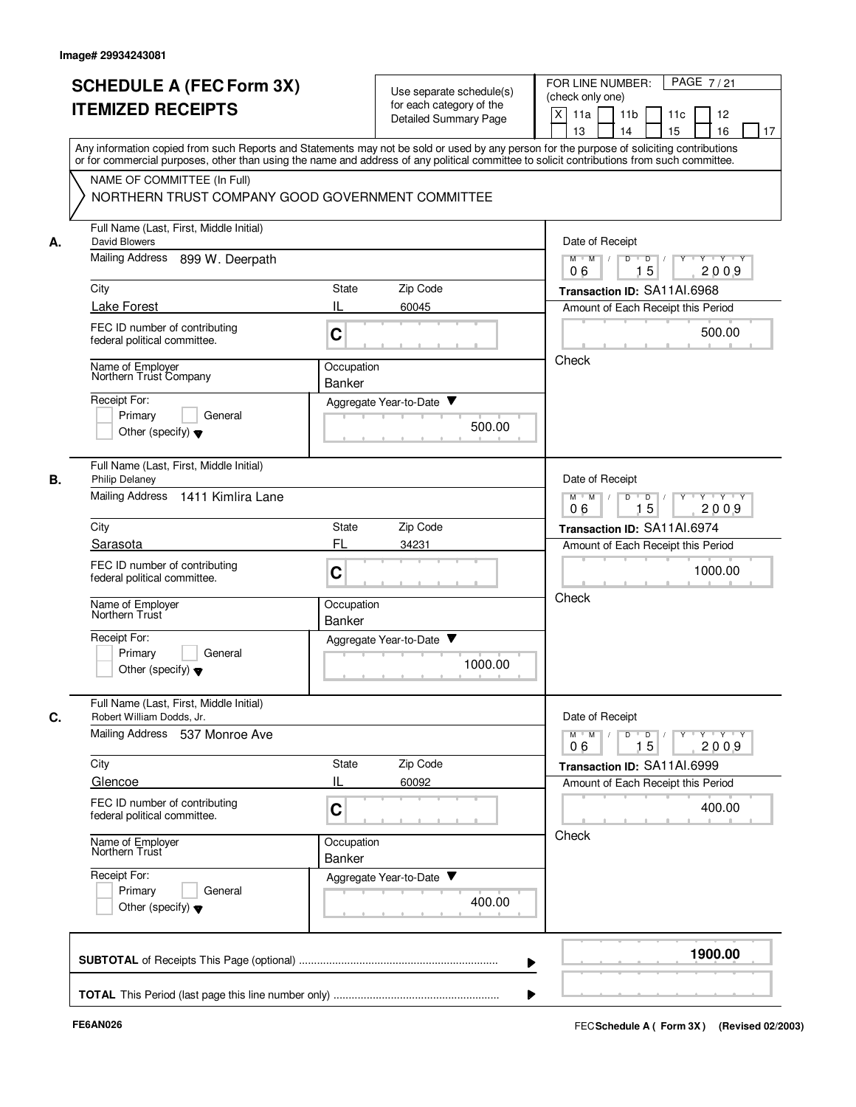|    | <b>SCHEDULE A (FEC Form 3X)</b><br><b>ITEMIZED RECEIPTS</b><br>Any information copied from such Reports and Statements may not be sold or used by any person for the purpose of soliciting contributions                      |                             | Use separate schedule(s)<br>for each category of the<br>Detailed Summary Page | PAGE 7/21<br>FOR LINE NUMBER:<br>(check only one)<br>$\mathsf{X}$<br>11a<br>11 <sub>b</sub><br>11c<br>12<br>16<br>13<br>14<br>15<br>17 |
|----|-------------------------------------------------------------------------------------------------------------------------------------------------------------------------------------------------------------------------------|-----------------------------|-------------------------------------------------------------------------------|----------------------------------------------------------------------------------------------------------------------------------------|
|    | or for commercial purposes, other than using the name and address of any political committee to solicit contributions from such committee.<br>NAME OF COMMITTEE (In Full)<br>NORTHERN TRUST COMPANY GOOD GOVERNMENT COMMITTEE |                             |                                                                               |                                                                                                                                        |
| А. | Full Name (Last, First, Middle Initial)<br>David Blowers                                                                                                                                                                      |                             |                                                                               | Date of Receipt                                                                                                                        |
|    | Mailing Address<br>899 W. Deerpath                                                                                                                                                                                            |                             |                                                                               | $M$ $M$ /<br>Y Y Y Y<br>D<br>D<br>15<br>2009<br>06                                                                                     |
|    | City                                                                                                                                                                                                                          | <b>State</b>                | Zip Code                                                                      | Transaction ID: SA11AI.6968                                                                                                            |
|    | Lake Forest                                                                                                                                                                                                                   | IL                          | 60045                                                                         | Amount of Each Receipt this Period                                                                                                     |
|    | FEC ID number of contributing<br>federal political committee.                                                                                                                                                                 | C                           |                                                                               | 500.00                                                                                                                                 |
|    | Name of Employer<br>Northern Trust Company                                                                                                                                                                                    | Occupation<br>Banker        |                                                                               | Check                                                                                                                                  |
|    | Receipt For:                                                                                                                                                                                                                  |                             | Aggregate Year-to-Date ▼                                                      |                                                                                                                                        |
|    | Primary<br>General<br>Other (specify) $\blacktriangledown$                                                                                                                                                                    |                             | 500.00                                                                        |                                                                                                                                        |
| В. | Full Name (Last, First, Middle Initial)<br><b>Philip Delaney</b>                                                                                                                                                              |                             |                                                                               | Date of Receipt                                                                                                                        |
|    | <b>Mailing Address</b><br>1411 Kimlira Lane                                                                                                                                                                                   |                             |                                                                               | D<br>$\overline{D}$<br>$Y \vdash Y \vdash Y$<br>$M$ M<br>$\sqrt{ }$<br>15<br>06<br>2009                                                |
|    | City                                                                                                                                                                                                                          | State                       | Zip Code                                                                      | Transaction ID: SA11AI.6974                                                                                                            |
|    | Sarasota<br>FEC ID number of contributing<br>federal political committee.                                                                                                                                                     | FL<br>C                     | 34231                                                                         | Amount of Each Receipt this Period<br>1000.00                                                                                          |
|    | Name of Employer<br>Northern Trust                                                                                                                                                                                            | Occupation<br><b>Banker</b> |                                                                               | Check                                                                                                                                  |
|    | Receipt For:<br>Primary<br>General<br>Other (specify) $\blacktriangledown$                                                                                                                                                    |                             | Aggregate Year-to-Date ▼<br>1000.00                                           |                                                                                                                                        |
| C. | Full Name (Last, First, Middle Initial)<br>Robert William Dodds, Jr.<br>Mailing Address 537 Monroe Ave                                                                                                                        |                             |                                                                               | Date of Receipt<br>$Y$ $Y$ $Y$ $Y$<br>$D$ $D$ $I$<br>$Y^+$<br>$M$ $M$ /<br>15<br>2009<br>06                                            |
|    | City                                                                                                                                                                                                                          | State                       | Zip Code                                                                      | Transaction ID: SA11AI.6999                                                                                                            |
|    | Glencoe                                                                                                                                                                                                                       | IL                          | 60092                                                                         | Amount of Each Receipt this Period                                                                                                     |
|    | FEC ID number of contributing<br>federal political committee.                                                                                                                                                                 | C                           |                                                                               | 400.00                                                                                                                                 |
|    | Name of Employer<br>Northern Trust                                                                                                                                                                                            | Occupation<br>Banker        |                                                                               | Check                                                                                                                                  |
|    | Receipt For:<br>Primary<br>General<br>Other (specify) $\blacktriangledown$                                                                                                                                                    |                             | Aggregate Year-to-Date<br>400.00                                              |                                                                                                                                        |
|    |                                                                                                                                                                                                                               |                             |                                                                               | 1900.00                                                                                                                                |
|    |                                                                                                                                                                                                                               |                             |                                                                               |                                                                                                                                        |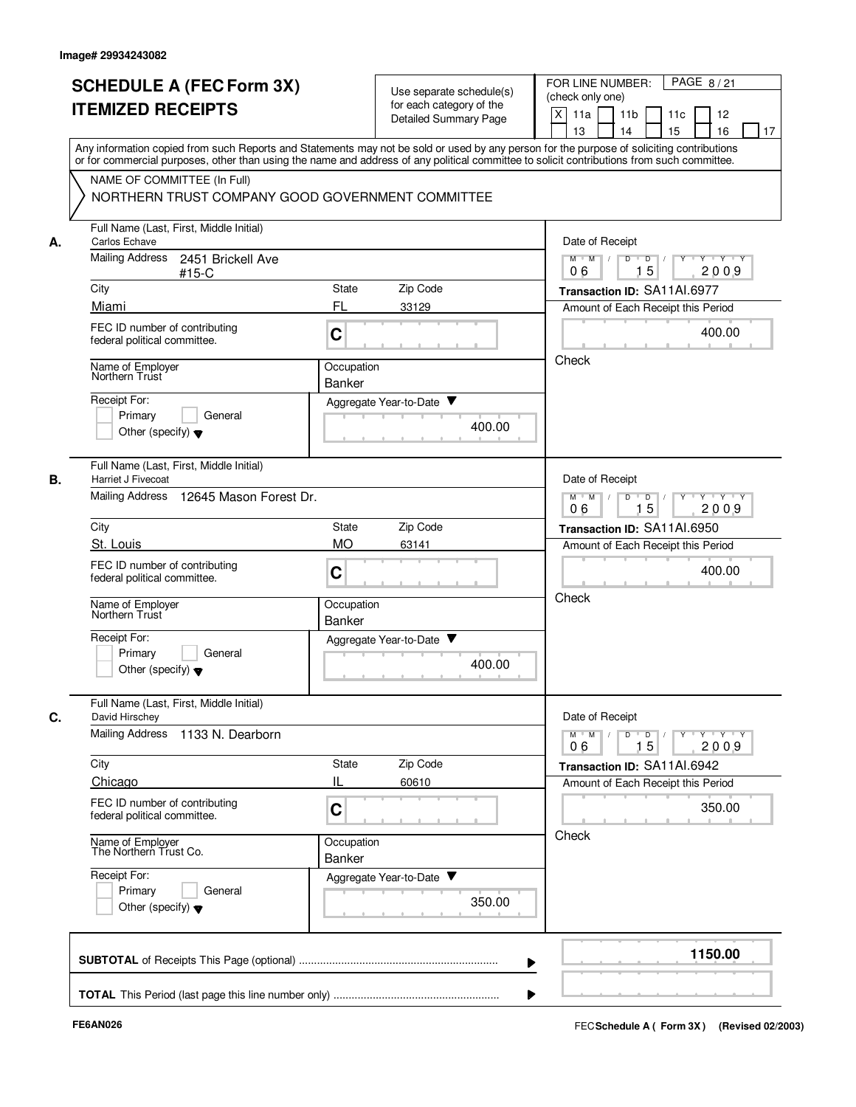|                                                | <b>SCHEDULE A (FEC Form 3X)</b>                               |                             |                                                      |        | PAGE 8/21<br>FOR LINE NUMBER:                                                                                                                                           |
|------------------------------------------------|---------------------------------------------------------------|-----------------------------|------------------------------------------------------|--------|-------------------------------------------------------------------------------------------------------------------------------------------------------------------------|
|                                                | <b>ITEMIZED RECEIPTS</b>                                      |                             | Use separate schedule(s)<br>for each category of the |        | (check only one)                                                                                                                                                        |
|                                                |                                                               |                             | Detailed Summary Page                                |        | X<br>11a<br>11 <sub>b</sub><br>11c<br>12                                                                                                                                |
|                                                |                                                               |                             |                                                      |        | 15<br>13<br>14<br>16<br>17<br>Any information copied from such Reports and Statements may not be sold or used by any person for the purpose of soliciting contributions |
|                                                |                                                               |                             |                                                      |        | or for commercial purposes, other than using the name and address of any political committee to solicit contributions from such committee.                              |
|                                                | NAME OF COMMITTEE (In Full)                                   |                             |                                                      |        |                                                                                                                                                                         |
|                                                | NORTHERN TRUST COMPANY GOOD GOVERNMENT COMMITTEE              |                             |                                                      |        |                                                                                                                                                                         |
| Carlos Echave<br>А.                            | Full Name (Last, First, Middle Initial)                       |                             |                                                      |        | Date of Receipt                                                                                                                                                         |
| Mailing Address                                | 2451 Brickell Ave<br>$#15-C$                                  |                             |                                                      |        | $M$ $M$ /<br>D<br>$\overline{\mathsf{D}}$<br>$Y - Y - Y$<br>15<br>2009<br>06                                                                                            |
| City                                           |                                                               | State                       | Zip Code                                             |        | Transaction ID: SA11AI.6977                                                                                                                                             |
| Miami                                          |                                                               | FL                          | 33129                                                |        | Amount of Each Receipt this Period                                                                                                                                      |
|                                                | FEC ID number of contributing<br>federal political committee. | C                           |                                                      |        | 400.00                                                                                                                                                                  |
| Name of Employer<br>Northern Trust             |                                                               | Occupation                  |                                                      |        | Check                                                                                                                                                                   |
|                                                |                                                               | Banker                      |                                                      |        |                                                                                                                                                                         |
| Receipt For:                                   | Primary<br>General                                            |                             | Aggregate Year-to-Date ▼                             |        |                                                                                                                                                                         |
|                                                | Other (specify) $\blacktriangledown$                          |                             |                                                      | 400.00 |                                                                                                                                                                         |
| В.<br>Harriet J Fivecoat                       | Full Name (Last, First, Middle Initial)                       |                             |                                                      |        | Date of Receipt                                                                                                                                                         |
| <b>Mailing Address</b>                         | 12645 Mason Forest Dr.                                        |                             |                                                      |        | $Y \vdash Y \vdash Y$<br>$M$ M<br>D<br>D<br>Y<br>15<br>2009<br>06                                                                                                       |
| City                                           |                                                               | State                       | Zip Code                                             |        | Transaction ID: SA11AI.6950                                                                                                                                             |
| St. Louis                                      |                                                               | <b>MO</b>                   | 63141                                                |        | Amount of Each Receipt this Period                                                                                                                                      |
|                                                | FEC ID number of contributing<br>federal political committee. | C                           |                                                      |        | 400.00                                                                                                                                                                  |
| Name of Employer<br>Northern Trust             |                                                               | Occupation<br><b>Banker</b> |                                                      |        | Check                                                                                                                                                                   |
| Receipt For:                                   |                                                               |                             | Aggregate Year-to-Date                               |        |                                                                                                                                                                         |
|                                                | Primary<br>General<br>Other (specify) $\blacktriangledown$    |                             |                                                      | 400.00 |                                                                                                                                                                         |
|                                                | Full Name (Last, First, Middle Initial)                       |                             |                                                      |        |                                                                                                                                                                         |
| C.<br>David Hirschey<br><b>Mailing Address</b> | 1133 N. Dearborn                                              |                             |                                                      |        | Date of Receipt<br>$\mathsf{Y} \dashv \mathsf{Y} \dashv \mathsf{Y} \dashv \mathsf{Y}$<br>$M^{\prime}$ M $\rightarrow$ /<br>$D$ $D$ $I$                                  |
| City                                           |                                                               | State                       | Zip Code                                             |        | 15<br>2009<br>06<br>Transaction ID: SA11AI.6942                                                                                                                         |
| Chicago                                        |                                                               | IL                          | 60610                                                |        | Amount of Each Receipt this Period                                                                                                                                      |
|                                                | FEC ID number of contributing<br>federal political committee. | C                           |                                                      |        | 350.00                                                                                                                                                                  |
|                                                | Name of Employer<br>The Northern Trust Co.                    | Occupation<br>Banker        |                                                      |        | Check                                                                                                                                                                   |
| Receipt For:                                   |                                                               |                             | Aggregate Year-to-Date                               |        |                                                                                                                                                                         |
|                                                | Primary<br>General<br>Other (specify) $\blacktriangledown$    |                             |                                                      | 350.00 |                                                                                                                                                                         |
|                                                |                                                               |                             |                                                      |        | 1150.00                                                                                                                                                                 |
|                                                |                                                               |                             |                                                      |        |                                                                                                                                                                         |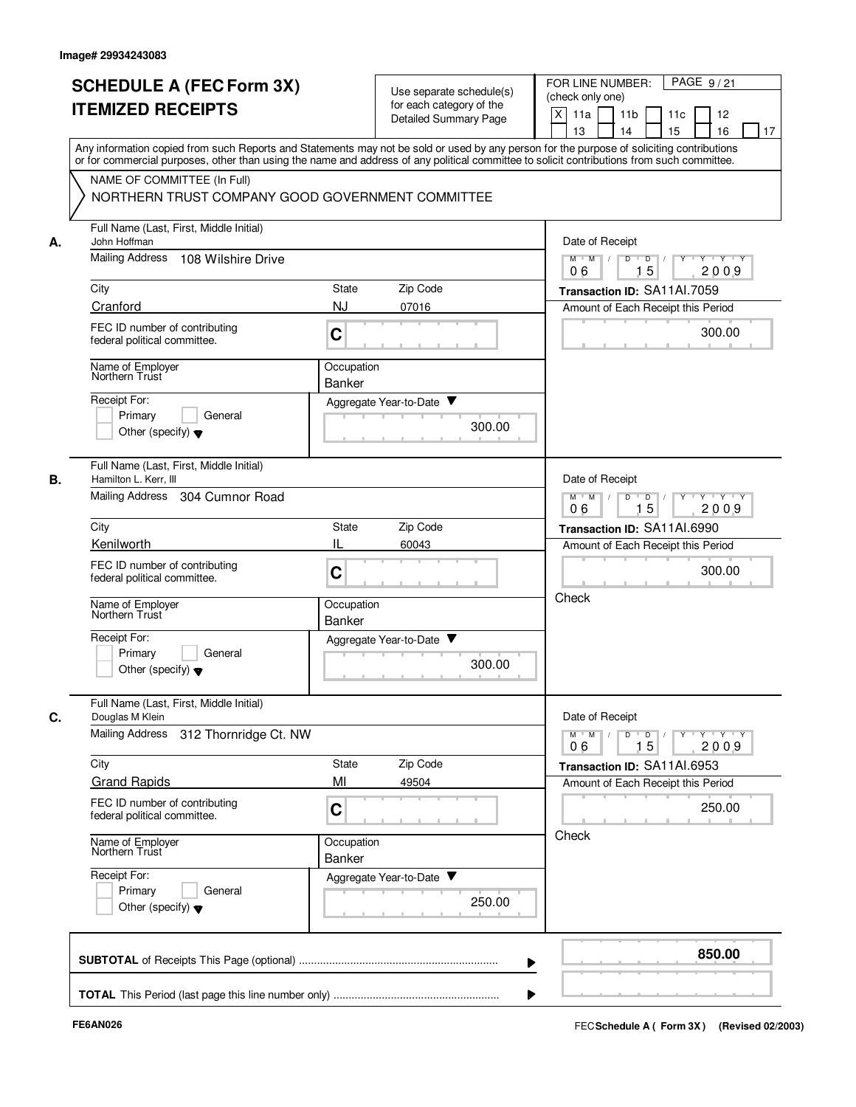|    | <b>SCHEDULE A (FEC Form 3X)</b>                                                                                                            |                    | Use separate schedule(s) |        | PAGE 9/21<br>FOR LINE NUMBER:<br>(check only one)                                                                                           |
|----|--------------------------------------------------------------------------------------------------------------------------------------------|--------------------|--------------------------|--------|---------------------------------------------------------------------------------------------------------------------------------------------|
|    | <b>ITEMIZED RECEIPTS</b>                                                                                                                   |                    | for each category of the |        | X<br>11a<br>11 <sub>b</sub><br>11c<br>12                                                                                                    |
|    |                                                                                                                                            |                    | Detailed Summary Page    |        | 15<br>13<br>14<br>16<br>17                                                                                                                  |
|    | Any information copied from such Reports and Statements may not be sold or used by any person for the purpose of soliciting contributions  |                    |                          |        |                                                                                                                                             |
|    | or for commercial purposes, other than using the name and address of any political committee to solicit contributions from such committee. |                    |                          |        |                                                                                                                                             |
|    | NAME OF COMMITTEE (In Full)<br>NORTHERN TRUST COMPANY GOOD GOVERNMENT COMMITTEE                                                            |                    |                          |        |                                                                                                                                             |
|    |                                                                                                                                            |                    |                          |        |                                                                                                                                             |
| А. | Full Name (Last, First, Middle Initial)<br>John Hoffman                                                                                    |                    |                          |        | Date of Receipt                                                                                                                             |
|    | Mailing Address<br>108 Wilshire Drive                                                                                                      |                    |                          |        | $M$ $M$ /<br>D<br>$\overline{\mathsf{D}}$<br>$Y - Y - Y$<br>$\Box$                                                                          |
|    |                                                                                                                                            |                    |                          |        | 15<br>2009<br>06                                                                                                                            |
|    | City<br>Cranford                                                                                                                           | State<br><b>NJ</b> | Zip Code                 |        | Transaction ID: SA11Al.7059                                                                                                                 |
|    |                                                                                                                                            |                    | 07016                    |        | Amount of Each Receipt this Period                                                                                                          |
|    | FEC ID number of contributing<br>federal political committee.                                                                              | C                  |                          |        | 300.00                                                                                                                                      |
|    | Name of Employer<br>Northern Trust                                                                                                         | Occupation         |                          |        |                                                                                                                                             |
|    | Receipt For:                                                                                                                               | Banker             |                          |        |                                                                                                                                             |
|    | Primary<br>General                                                                                                                         |                    | Aggregate Year-to-Date ▼ |        |                                                                                                                                             |
|    | Other (specify) $\blacktriangledown$                                                                                                       |                    |                          | 300.00 |                                                                                                                                             |
|    |                                                                                                                                            |                    |                          |        |                                                                                                                                             |
| В. | Full Name (Last, First, Middle Initial)<br>Hamilton L. Kerr, III                                                                           |                    |                          |        | Date of Receipt                                                                                                                             |
|    | Mailing Address<br>304 Cumnor Road                                                                                                         |                    |                          |        | $Y \vdash Y \vdash Y$<br>$M$ M<br>D<br>D<br>Y<br>15<br>2009<br>06                                                                           |
|    | City                                                                                                                                       | State              | Zip Code                 |        | Transaction ID: SA11AI.6990                                                                                                                 |
|    | Kenilworth                                                                                                                                 | IL                 | 60043                    |        | Amount of Each Receipt this Period                                                                                                          |
|    | FEC ID number of contributing                                                                                                              | C                  |                          |        | 300.00                                                                                                                                      |
|    | federal political committee.                                                                                                               |                    |                          |        |                                                                                                                                             |
|    | Name of Employer<br>Northern Trust                                                                                                         | Occupation         |                          |        | Check                                                                                                                                       |
|    |                                                                                                                                            | <b>Banker</b>      |                          |        |                                                                                                                                             |
|    | Receipt For:<br>Primary<br>General                                                                                                         |                    | Aggregate Year-to-Date   |        |                                                                                                                                             |
|    | Other (specify) $\blacktriangledown$                                                                                                       |                    |                          | 300.00 |                                                                                                                                             |
|    |                                                                                                                                            |                    |                          |        |                                                                                                                                             |
| C. | Full Name (Last, First, Middle Initial)<br>Douglas M Klein                                                                                 |                    |                          |        | Date of Receipt                                                                                                                             |
|    | <b>Mailing Address</b><br>312 Thornridge Ct. NW                                                                                            |                    |                          |        | $\mathsf{Y} \dashv \mathsf{Y} \dashv \mathsf{Y} \dashv \mathsf{Y}$<br>$M^{\prime}$ $M^{\prime}$ /<br>D<br>$\blacksquare$ D $\blacksquare$ / |
|    |                                                                                                                                            |                    |                          |        | 15<br>2009<br>06                                                                                                                            |
|    | City<br><b>Grand Rapids</b>                                                                                                                | State<br>MI        | Zip Code<br>49504        |        | Transaction ID: SA11AI.6953<br>Amount of Each Receipt this Period                                                                           |
|    | FEC ID number of contributing                                                                                                              |                    |                          |        |                                                                                                                                             |
|    | federal political committee.                                                                                                               | C                  |                          |        | 250.00                                                                                                                                      |
|    | Name of Employer<br>Northern Trust                                                                                                         | Occupation         |                          |        | Check                                                                                                                                       |
|    |                                                                                                                                            | Banker             |                          |        |                                                                                                                                             |
|    | Receipt For:<br>Primary<br>General                                                                                                         |                    | Aggregate Year-to-Date   |        |                                                                                                                                             |
|    | Other (specify) $\blacktriangledown$                                                                                                       |                    |                          | 250.00 |                                                                                                                                             |
|    |                                                                                                                                            |                    |                          |        |                                                                                                                                             |
|    |                                                                                                                                            |                    |                          |        |                                                                                                                                             |
|    |                                                                                                                                            |                    |                          |        | 850.00                                                                                                                                      |
|    |                                                                                                                                            |                    |                          |        |                                                                                                                                             |
|    |                                                                                                                                            |                    |                          |        |                                                                                                                                             |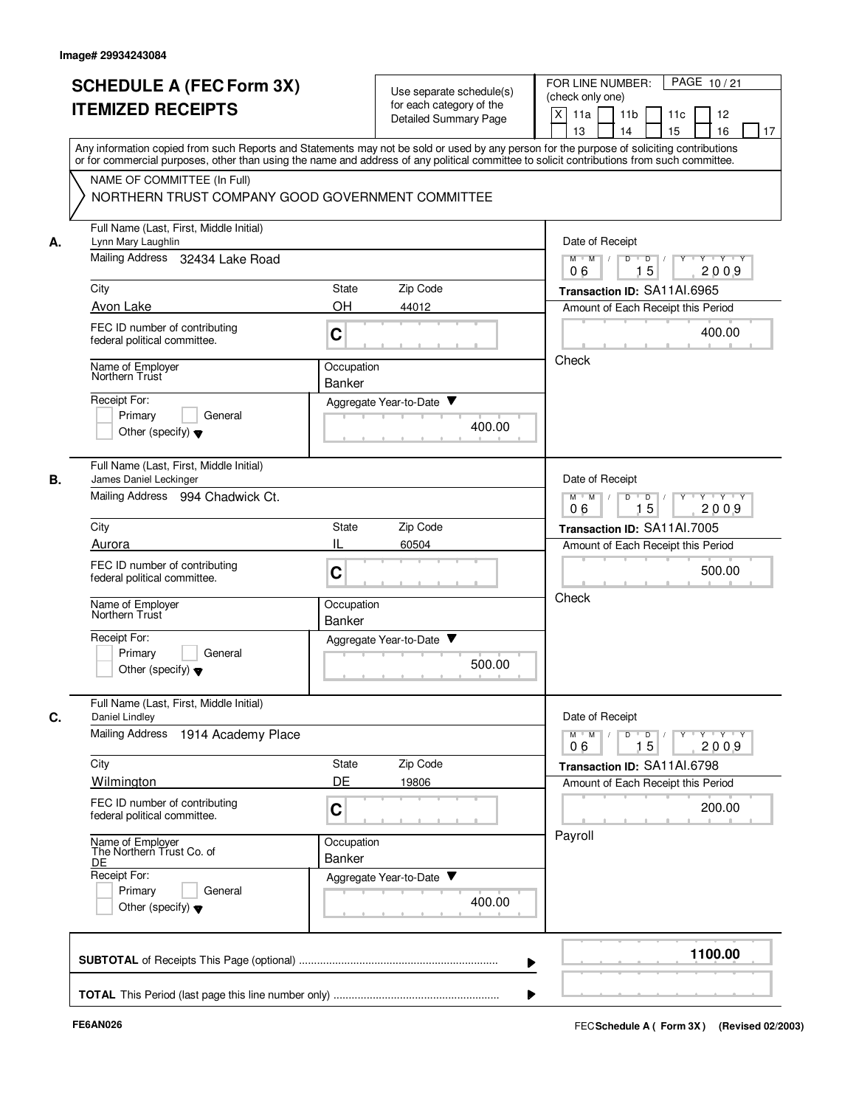|    | <b>SCHEDULE A (FEC Form 3X)</b><br><b>ITEMIZED RECEIPTS</b>                     | Use separate schedule(s)<br>for each category of the<br>Detailed Summary Page                                                                                                                                                                                                           | PAGE 10/21<br>FOR LINE NUMBER:<br>(check only one)<br>X<br>11a<br>11 <sub>b</sub><br>11c<br>12 |
|----|---------------------------------------------------------------------------------|-----------------------------------------------------------------------------------------------------------------------------------------------------------------------------------------------------------------------------------------------------------------------------------------|------------------------------------------------------------------------------------------------|
|    |                                                                                 | Any information copied from such Reports and Statements may not be sold or used by any person for the purpose of soliciting contributions<br>or for commercial purposes, other than using the name and address of any political committee to solicit contributions from such committee. | 13<br>14<br>15<br>16<br>17                                                                     |
|    | NAME OF COMMITTEE (In Full)<br>NORTHERN TRUST COMPANY GOOD GOVERNMENT COMMITTEE |                                                                                                                                                                                                                                                                                         |                                                                                                |
| А. | Full Name (Last, First, Middle Initial)<br>Lynn Mary Laughlin                   |                                                                                                                                                                                                                                                                                         | Date of Receipt                                                                                |
|    | Mailing Address 32434 Lake Road                                                 |                                                                                                                                                                                                                                                                                         | $M$ $M$ /<br>D<br>$\Box$<br>$Y$ <sup>-1</sup><br>Y Y Y Y<br>15<br>2009<br>06                   |
|    | City                                                                            | Zip Code<br>State                                                                                                                                                                                                                                                                       | Transaction ID: SA11AI.6965                                                                    |
|    | Avon Lake                                                                       | OH<br>44012                                                                                                                                                                                                                                                                             | Amount of Each Receipt this Period                                                             |
|    | FEC ID number of contributing<br>federal political committee.                   | C                                                                                                                                                                                                                                                                                       | 400.00                                                                                         |
|    | Name of Employer<br>Northern Trust                                              | Occupation<br><b>Banker</b>                                                                                                                                                                                                                                                             | Check                                                                                          |
|    | Receipt For:                                                                    | Aggregate Year-to-Date ▼                                                                                                                                                                                                                                                                |                                                                                                |
|    | Primary<br>General<br>Other (specify) $\blacktriangledown$                      | 400.00                                                                                                                                                                                                                                                                                  |                                                                                                |
| В. | Full Name (Last, First, Middle Initial)<br>James Daniel Leckinger               |                                                                                                                                                                                                                                                                                         | Date of Receipt                                                                                |
|    | Mailing Address 994 Chadwick Ct.                                                |                                                                                                                                                                                                                                                                                         | $M$ M<br>D<br>$\overline{D}$<br>Y Y Y Y<br>$\sqrt{ }$<br>Y<br>$\top$<br>15<br>2009<br>06       |
|    | City                                                                            | Zip Code<br>State                                                                                                                                                                                                                                                                       | Transaction ID: SA11Al.7005                                                                    |
|    | Aurora                                                                          | IL<br>60504                                                                                                                                                                                                                                                                             | Amount of Each Receipt this Period                                                             |
|    | FEC ID number of contributing<br>federal political committee.                   | C                                                                                                                                                                                                                                                                                       | 500.00<br>Check                                                                                |
|    | Name of Employer<br>Northern Trust                                              | Occupation<br><b>Banker</b>                                                                                                                                                                                                                                                             |                                                                                                |
|    | Receipt For:<br>Primary<br>General                                              | Aggregate Year-to-Date ▼                                                                                                                                                                                                                                                                |                                                                                                |
|    | Other (specify) $\blacktriangledown$                                            | 500.00                                                                                                                                                                                                                                                                                  |                                                                                                |
| С. | Full Name (Last, First, Middle Initial)<br>Daniel Lindley                       |                                                                                                                                                                                                                                                                                         | Date of Receipt                                                                                |
|    | Mailing Address<br>1914 Academy Place                                           |                                                                                                                                                                                                                                                                                         | $Y$ $Y$ $Y$<br>$M$ $M$<br>D<br>D<br>15<br>2009<br>06                                           |
|    | City<br>Wilmington                                                              | Zip Code<br>State<br>DE<br>19806                                                                                                                                                                                                                                                        | Transaction ID: SA11AI.6798<br>Amount of Each Receipt this Period                              |
|    | FEC ID number of contributing<br>federal political committee.                   | C                                                                                                                                                                                                                                                                                       | 200.00                                                                                         |
|    | Name of Employer<br>The Northern Trust Co. of<br>DE                             | Occupation<br>Banker                                                                                                                                                                                                                                                                    | Payroll                                                                                        |
|    | Receipt For:<br>Primary<br>General<br>Other (specify) $\blacktriangledown$      | Aggregate Year-to-Date<br>400.00                                                                                                                                                                                                                                                        |                                                                                                |
|    |                                                                                 |                                                                                                                                                                                                                                                                                         | 1100.00                                                                                        |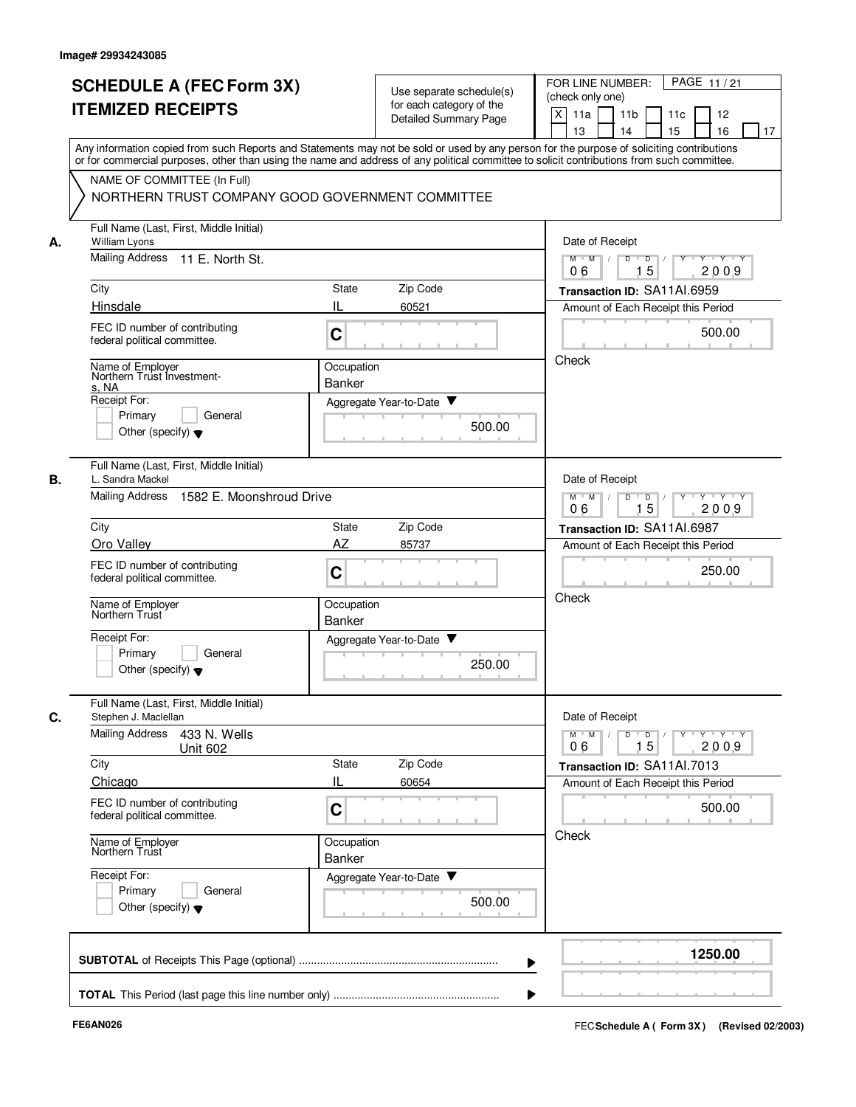| Any information copied from such Reports and Statements may not be sold or used by any person for the purpose of soliciting contributions<br>or for commercial purposes, other than using the name and address of any political committee to solicit contributions from such committee.<br>NAME OF COMMITTEE (In Full)<br>NORTHERN TRUST COMPANY GOOD GOVERNMENT COMMITTEE<br>Full Name (Last, First, Middle Initial)<br>А.<br>William Lyons<br><b>Mailing Address</b><br>11 E. North St.<br>City<br>Hinsdale<br>FEC ID number of contributing<br>federal political committee.<br>Name of Employer<br>Northern Trust Investment-<br>s. NA<br>Receipt For:<br>Primary<br>General<br>Other (specify) $\blacktriangledown$<br>Full Name (Last, First, Middle Initial)<br>L. Sandra Mackel<br><b>Mailing Address</b><br>1582 E. Moonshroud Drive<br>City<br>Oro Valley<br>FEC ID number of contributing<br>federal political committee. | Zip Code<br>State<br>Ш<br>60521<br>C<br>Occupation<br><b>Banker</b><br>Aggregate Year-to-Date ▼<br>500.00 | Date of Receipt<br>$D$ $D$ $I$<br>$M$ $M$ /<br>$Y$ <sup><math>\top</math></sup><br>$Y - Y - Y$<br>15<br>2009<br>06<br>Transaction ID: SA11AI.6959<br>Amount of Each Receipt this Period<br>500.00<br>Check |
|-------------------------------------------------------------------------------------------------------------------------------------------------------------------------------------------------------------------------------------------------------------------------------------------------------------------------------------------------------------------------------------------------------------------------------------------------------------------------------------------------------------------------------------------------------------------------------------------------------------------------------------------------------------------------------------------------------------------------------------------------------------------------------------------------------------------------------------------------------------------------------------------------------------------------------------|-----------------------------------------------------------------------------------------------------------|------------------------------------------------------------------------------------------------------------------------------------------------------------------------------------------------------------|
|                                                                                                                                                                                                                                                                                                                                                                                                                                                                                                                                                                                                                                                                                                                                                                                                                                                                                                                                     |                                                                                                           |                                                                                                                                                                                                            |
|                                                                                                                                                                                                                                                                                                                                                                                                                                                                                                                                                                                                                                                                                                                                                                                                                                                                                                                                     |                                                                                                           |                                                                                                                                                                                                            |
|                                                                                                                                                                                                                                                                                                                                                                                                                                                                                                                                                                                                                                                                                                                                                                                                                                                                                                                                     |                                                                                                           |                                                                                                                                                                                                            |
| В.                                                                                                                                                                                                                                                                                                                                                                                                                                                                                                                                                                                                                                                                                                                                                                                                                                                                                                                                  |                                                                                                           |                                                                                                                                                                                                            |
|                                                                                                                                                                                                                                                                                                                                                                                                                                                                                                                                                                                                                                                                                                                                                                                                                                                                                                                                     |                                                                                                           | Date of Receipt<br>$Y - Y - Y$<br>$M$ M<br>D<br>$\overline{D}$<br>15<br>2009<br>06                                                                                                                         |
| Name of Employer<br>Northern Trust                                                                                                                                                                                                                                                                                                                                                                                                                                                                                                                                                                                                                                                                                                                                                                                                                                                                                                  | State<br>Zip Code<br>AZ<br>85737<br>C<br>Occupation                                                       | Transaction ID: SA11AI.6987<br>Amount of Each Receipt this Period<br>250.00<br>Check                                                                                                                       |
| Receipt For:<br>Primary<br>General<br>Other (specify) $\blacktriangledown$                                                                                                                                                                                                                                                                                                                                                                                                                                                                                                                                                                                                                                                                                                                                                                                                                                                          | <b>Banker</b><br>▼<br>Aggregate Year-to-Date<br>250.00                                                    |                                                                                                                                                                                                            |
| Full Name (Last, First, Middle Initial)<br>C.<br>Stephen J. Maclellan<br><b>Mailing Address</b><br>433 N. Wells<br><b>Unit 602</b><br>City                                                                                                                                                                                                                                                                                                                                                                                                                                                                                                                                                                                                                                                                                                                                                                                          | Zip Code<br>State                                                                                         | Date of Receipt<br>$Y + Y + Y$<br>$M$ $M$ /<br>D<br>$\overline{D}$<br>Y<br>15<br>2009<br>06<br>Transaction ID: SA11Al.7013                                                                                 |
| Chicago<br>FEC ID number of contributing<br>federal political committee.                                                                                                                                                                                                                                                                                                                                                                                                                                                                                                                                                                                                                                                                                                                                                                                                                                                            | IL<br>60654<br>C                                                                                          | Amount of Each Receipt this Period<br>500.00                                                                                                                                                               |
| Name of Employer<br>Northern Trust<br>Receipt For:<br>Primary<br>General<br>Other (specify) $\blacktriangledown$                                                                                                                                                                                                                                                                                                                                                                                                                                                                                                                                                                                                                                                                                                                                                                                                                    | Occupation<br>Banker<br>Aggregate Year-to-Date<br>500.00                                                  | Check                                                                                                                                                                                                      |
|                                                                                                                                                                                                                                                                                                                                                                                                                                                                                                                                                                                                                                                                                                                                                                                                                                                                                                                                     |                                                                                                           | 1250.00                                                                                                                                                                                                    |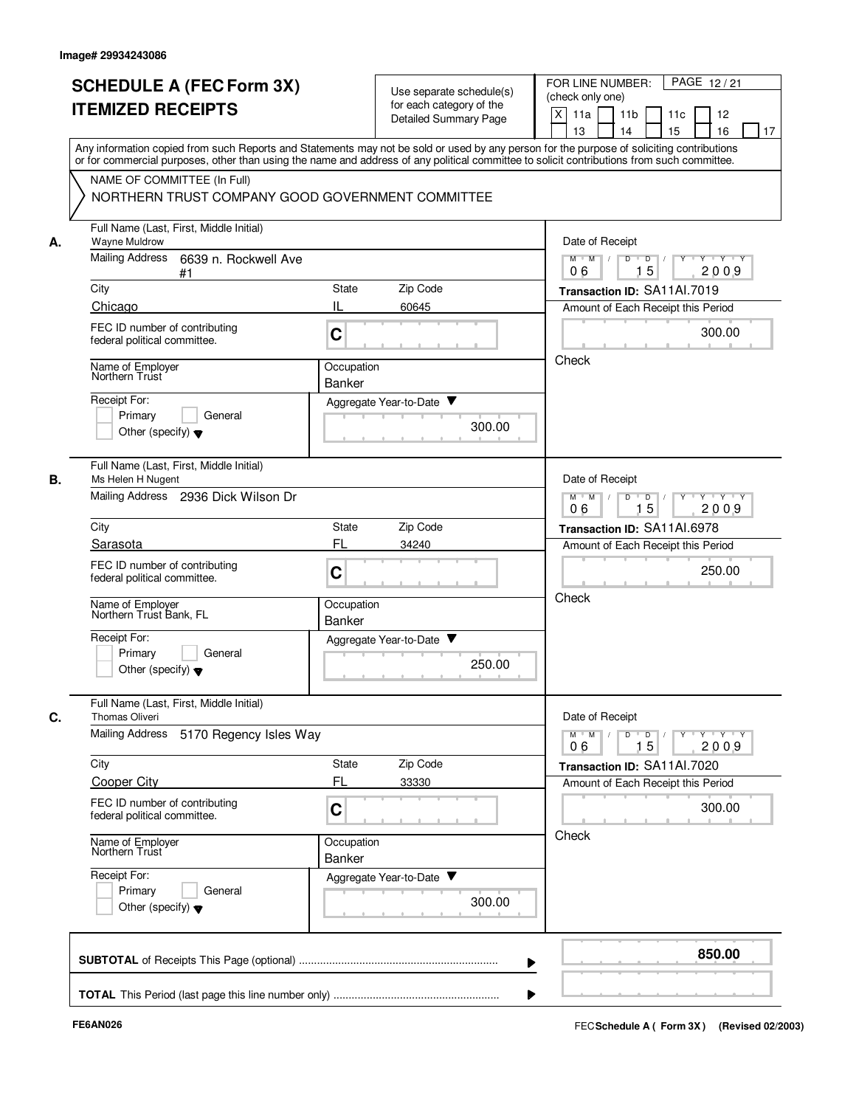|    |                                                                                                                                                                                                                                                                                         |                             |                                                   | PAGE 12/21<br>FOR LINE NUMBER:                                                          |
|----|-----------------------------------------------------------------------------------------------------------------------------------------------------------------------------------------------------------------------------------------------------------------------------------------|-----------------------------|---------------------------------------------------|-----------------------------------------------------------------------------------------|
|    | <b>SCHEDULE A (FEC Form 3X)</b>                                                                                                                                                                                                                                                         |                             | Use separate schedule(s)                          | (check only one)                                                                        |
|    | <b>ITEMIZED RECEIPTS</b>                                                                                                                                                                                                                                                                |                             | for each category of the<br>Detailed Summary Page | X<br>11a<br>11 <sub>b</sub><br>11c<br>12                                                |
|    |                                                                                                                                                                                                                                                                                         |                             |                                                   | 15<br>13<br>14<br>16<br>17                                                              |
|    | Any information copied from such Reports and Statements may not be sold or used by any person for the purpose of soliciting contributions<br>or for commercial purposes, other than using the name and address of any political committee to solicit contributions from such committee. |                             |                                                   |                                                                                         |
|    | NAME OF COMMITTEE (In Full)                                                                                                                                                                                                                                                             |                             |                                                   |                                                                                         |
|    | NORTHERN TRUST COMPANY GOOD GOVERNMENT COMMITTEE                                                                                                                                                                                                                                        |                             |                                                   |                                                                                         |
| А. | Full Name (Last, First, Middle Initial)<br><b>Wayne Muldrow</b>                                                                                                                                                                                                                         |                             |                                                   | Date of Receipt                                                                         |
|    | Mailing Address<br>6639 n. Rockwell Ave<br>#1                                                                                                                                                                                                                                           |                             |                                                   | $M$ $M$ /<br>D<br>$\overline{\mathsf{D}}$<br>$Y - Y - Y$<br>$\Box$<br>15<br>2009<br>06  |
|    | City                                                                                                                                                                                                                                                                                    | State                       | Zip Code                                          | Transaction ID: SA11Al.7019                                                             |
|    | Chicago                                                                                                                                                                                                                                                                                 | IL<br>60645                 |                                                   | Amount of Each Receipt this Period                                                      |
|    | FEC ID number of contributing<br>federal political committee.                                                                                                                                                                                                                           | C                           |                                                   | 300.00                                                                                  |
|    | Name of Employer<br>Northern Trust                                                                                                                                                                                                                                                      | Occupation                  |                                                   | Check                                                                                   |
|    |                                                                                                                                                                                                                                                                                         | Banker                      |                                                   |                                                                                         |
|    | Receipt For:<br>Primary<br>General                                                                                                                                                                                                                                                      | Aggregate Year-to-Date ▼    |                                                   |                                                                                         |
|    | Other (specify) $\blacktriangledown$                                                                                                                                                                                                                                                    |                             | 300.00                                            |                                                                                         |
| В. | Full Name (Last, First, Middle Initial)<br>Ms Helen H Nugent                                                                                                                                                                                                                            |                             |                                                   | Date of Receipt                                                                         |
|    | Mailing Address 2936 Dick Wilson Dr                                                                                                                                                                                                                                                     |                             |                                                   | $Y \vdash Y \vdash Y$<br>$M$ M<br>D<br>D<br>Y<br>15<br>2009<br>06                       |
|    | City                                                                                                                                                                                                                                                                                    | State                       | Zip Code                                          | Transaction ID: SA11AI.6978                                                             |
|    | Sarasota                                                                                                                                                                                                                                                                                | FL<br>34240                 |                                                   | Amount of Each Receipt this Period                                                      |
|    | FEC ID number of contributing<br>federal political committee.                                                                                                                                                                                                                           | C                           |                                                   | 250.00                                                                                  |
|    | Name of Employer<br>Northern Trust Bank, FL                                                                                                                                                                                                                                             | Occupation<br><b>Banker</b> |                                                   | Check                                                                                   |
|    | Receipt For:                                                                                                                                                                                                                                                                            | Aggregate Year-to-Date      |                                                   |                                                                                         |
|    | Primary<br>General<br>Other (specify) $\blacktriangledown$                                                                                                                                                                                                                              |                             | 250.00                                            |                                                                                         |
| C. | Full Name (Last, First, Middle Initial)<br><b>Thomas Oliveri</b>                                                                                                                                                                                                                        |                             |                                                   | Date of Receipt                                                                         |
|    | <b>Mailing Address</b><br>5170 Regency Isles Way                                                                                                                                                                                                                                        |                             |                                                   | $M^{\prime}$ $M^{\prime}$ /<br>y y y y y y<br>D<br>$\overline{D}$ /<br>15<br>2009<br>06 |
|    | City                                                                                                                                                                                                                                                                                    | State                       | Zip Code                                          | Transaction ID: SA11Al.7020                                                             |
|    | <b>Cooper City</b>                                                                                                                                                                                                                                                                      | FL<br>33330                 |                                                   | Amount of Each Receipt this Period                                                      |
|    | FEC ID number of contributing<br>federal political committee.                                                                                                                                                                                                                           | C                           |                                                   | 300.00                                                                                  |
|    | Name of Employer<br>Northern Trust                                                                                                                                                                                                                                                      | Occupation<br>Banker        |                                                   | Check                                                                                   |
|    | Receipt For:                                                                                                                                                                                                                                                                            | Aggregate Year-to-Date      |                                                   |                                                                                         |
|    | Primary<br>General<br>Other (specify) $\blacktriangledown$                                                                                                                                                                                                                              |                             | 300.00                                            |                                                                                         |
|    |                                                                                                                                                                                                                                                                                         |                             |                                                   |                                                                                         |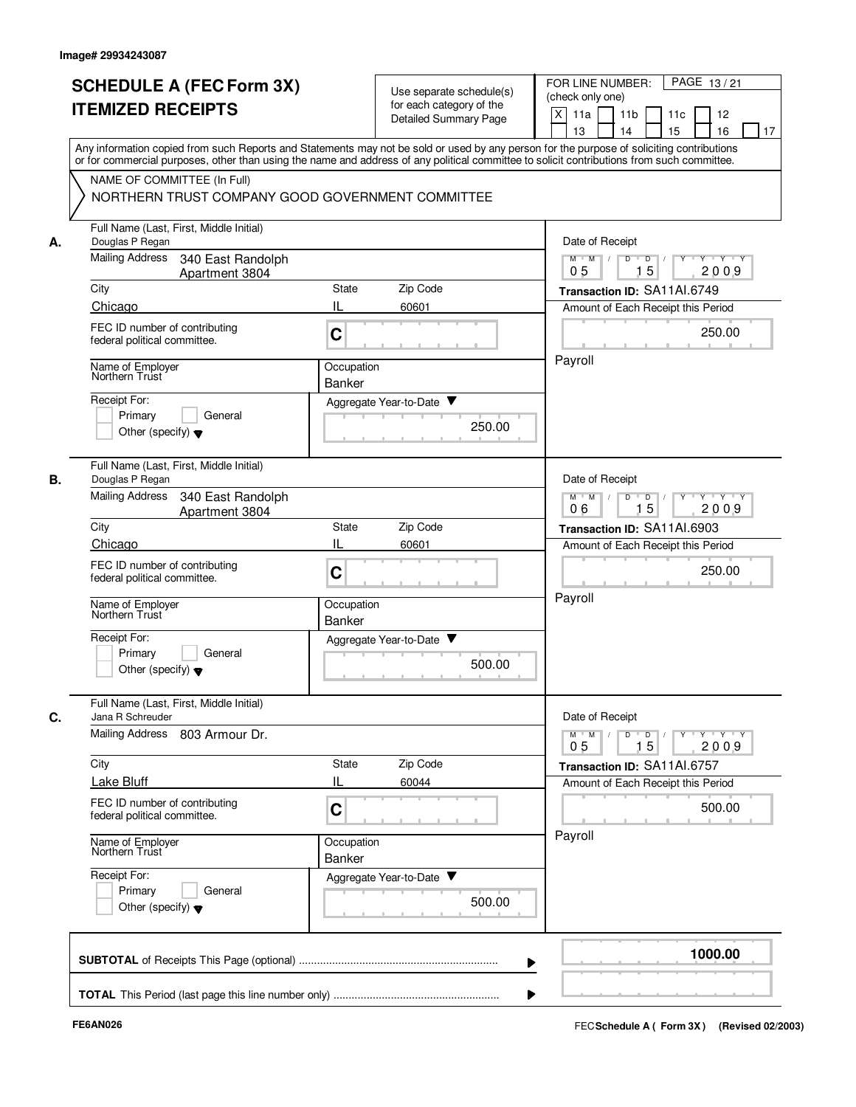|    | <b>SCHEDULE A (FEC Form 3X)</b><br><b>ITEMIZED RECEIPTS</b><br>NAME OF COMMITTEE (In Full)<br>NORTHERN TRUST COMPANY GOOD GOVERNMENT COMMITTEE<br>Full Name (Last, First, Middle Initial)<br>Douglas P Regan | Use separate schedule(s)<br>for each category of the<br>Detailed Summary Page<br>Any information copied from such Reports and Statements may not be sold or used by any person for the purpose of soliciting contributions<br>or for commercial purposes, other than using the name and address of any political committee to solicit contributions from such committee. | (check only one)<br>X<br>11a<br>11 <sub>b</sub><br>11c<br>12<br>15<br>13<br>14<br>16<br>17                                                                                   |
|----|--------------------------------------------------------------------------------------------------------------------------------------------------------------------------------------------------------------|--------------------------------------------------------------------------------------------------------------------------------------------------------------------------------------------------------------------------------------------------------------------------------------------------------------------------------------------------------------------------|------------------------------------------------------------------------------------------------------------------------------------------------------------------------------|
|    |                                                                                                                                                                                                              |                                                                                                                                                                                                                                                                                                                                                                          |                                                                                                                                                                              |
| А. |                                                                                                                                                                                                              |                                                                                                                                                                                                                                                                                                                                                                          |                                                                                                                                                                              |
|    |                                                                                                                                                                                                              |                                                                                                                                                                                                                                                                                                                                                                          |                                                                                                                                                                              |
|    |                                                                                                                                                                                                              |                                                                                                                                                                                                                                                                                                                                                                          |                                                                                                                                                                              |
|    |                                                                                                                                                                                                              |                                                                                                                                                                                                                                                                                                                                                                          |                                                                                                                                                                              |
|    |                                                                                                                                                                                                              |                                                                                                                                                                                                                                                                                                                                                                          | Date of Receipt                                                                                                                                                              |
|    | <b>Mailing Address</b><br>340 East Randolph<br>Apartment 3804                                                                                                                                                |                                                                                                                                                                                                                                                                                                                                                                          | $M$ $M$ /<br>D<br>D<br>$Y - Y - Y$<br>15<br>2009<br>05                                                                                                                       |
|    | City                                                                                                                                                                                                         | Zip Code<br>State                                                                                                                                                                                                                                                                                                                                                        | Transaction ID: SA11AI.6749                                                                                                                                                  |
|    | Chicago                                                                                                                                                                                                      | IL<br>60601                                                                                                                                                                                                                                                                                                                                                              | Amount of Each Receipt this Period                                                                                                                                           |
|    | FEC ID number of contributing<br>federal political committee.                                                                                                                                                | C                                                                                                                                                                                                                                                                                                                                                                        | 250.00                                                                                                                                                                       |
|    | Name of Employer<br>Northern Trust                                                                                                                                                                           | Occupation<br>Banker                                                                                                                                                                                                                                                                                                                                                     | Payroll                                                                                                                                                                      |
|    | Receipt For:                                                                                                                                                                                                 | Aggregate Year-to-Date ▼                                                                                                                                                                                                                                                                                                                                                 |                                                                                                                                                                              |
|    | Primary<br>General                                                                                                                                                                                           | 250.00                                                                                                                                                                                                                                                                                                                                                                   |                                                                                                                                                                              |
|    | Other (specify) $\blacktriangledown$                                                                                                                                                                         |                                                                                                                                                                                                                                                                                                                                                                          |                                                                                                                                                                              |
| В. | Full Name (Last, First, Middle Initial)<br>Douglas P Regan                                                                                                                                                   |                                                                                                                                                                                                                                                                                                                                                                          | Date of Receipt                                                                                                                                                              |
|    | <b>Mailing Address</b><br>340 East Randolph<br>Apartment 3804                                                                                                                                                |                                                                                                                                                                                                                                                                                                                                                                          | $Y - Y - Y$<br>$M$ M<br>D<br>D<br>Y<br>15<br>2009<br>06                                                                                                                      |
|    | City                                                                                                                                                                                                         | <b>State</b><br>Zip Code                                                                                                                                                                                                                                                                                                                                                 | Transaction ID: SA11AI.6903                                                                                                                                                  |
|    | Chicago                                                                                                                                                                                                      | IL<br>60601                                                                                                                                                                                                                                                                                                                                                              | Amount of Each Receipt this Period                                                                                                                                           |
|    | FEC ID number of contributing<br>federal political committee.                                                                                                                                                | C                                                                                                                                                                                                                                                                                                                                                                        | 250.00                                                                                                                                                                       |
|    | Name of Employer<br>Northern Trust                                                                                                                                                                           | Occupation<br><b>Banker</b>                                                                                                                                                                                                                                                                                                                                              | Payroll                                                                                                                                                                      |
|    | Receipt For:                                                                                                                                                                                                 | Aggregate Year-to-Date                                                                                                                                                                                                                                                                                                                                                   |                                                                                                                                                                              |
|    | Primary<br>General<br>Other (specify) $\blacktriangledown$                                                                                                                                                   | 500.00                                                                                                                                                                                                                                                                                                                                                                   |                                                                                                                                                                              |
|    | Full Name (Last, First, Middle Initial)                                                                                                                                                                      |                                                                                                                                                                                                                                                                                                                                                                          |                                                                                                                                                                              |
| C. | Jana R Schreuder<br><b>Mailing Address</b><br>803 Armour Dr.                                                                                                                                                 |                                                                                                                                                                                                                                                                                                                                                                          | Date of Receipt<br>$\mathsf{Y} \dashv \mathsf{Y} \dashv \mathsf{Y} \dashv \mathsf{Y}$<br>$M$ $M$ /<br>D<br>$\blacksquare$ D $\blacksquare$ /<br>0 <sub>5</sub><br>15<br>2009 |
|    | City                                                                                                                                                                                                         | State<br>Zip Code                                                                                                                                                                                                                                                                                                                                                        | Transaction ID: SA11AI.6757                                                                                                                                                  |
|    | Lake Bluff                                                                                                                                                                                                   | IL<br>60044                                                                                                                                                                                                                                                                                                                                                              | Amount of Each Receipt this Period                                                                                                                                           |
|    | FEC ID number of contributing<br>federal political committee.                                                                                                                                                | C                                                                                                                                                                                                                                                                                                                                                                        | 500.00                                                                                                                                                                       |
|    | Name of Employer<br>Northern Trust                                                                                                                                                                           | Occupation<br>Banker                                                                                                                                                                                                                                                                                                                                                     | Payroll                                                                                                                                                                      |
|    | Receipt For:                                                                                                                                                                                                 | Aggregate Year-to-Date                                                                                                                                                                                                                                                                                                                                                   |                                                                                                                                                                              |
|    | Primary<br>General<br>Other (specify) $\blacktriangledown$                                                                                                                                                   | 500.00                                                                                                                                                                                                                                                                                                                                                                   |                                                                                                                                                                              |
|    |                                                                                                                                                                                                              |                                                                                                                                                                                                                                                                                                                                                                          | 1000.00                                                                                                                                                                      |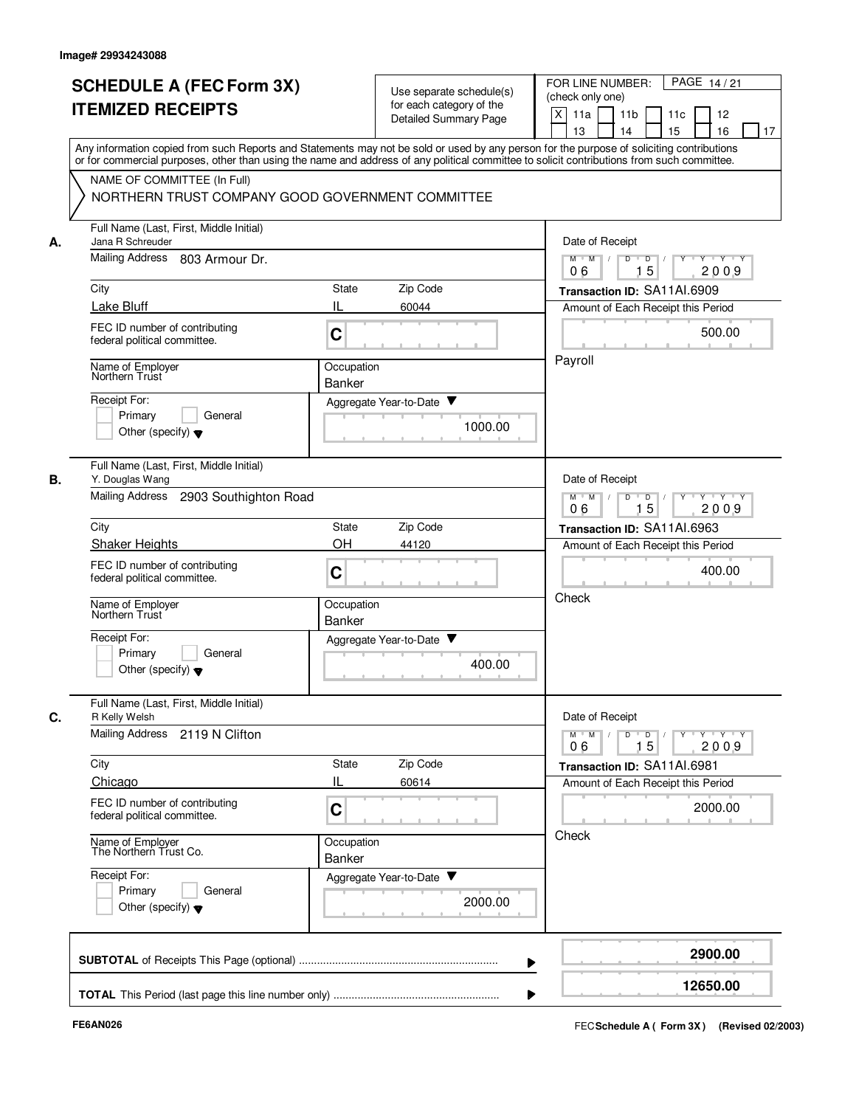| <b>SCHEDULE A (FEC Form 3X)</b><br><b>ITEMIZED RECEIPTS</b>                | Use separate schedule(s)<br>for each category of the<br>Detailed Summary Page                                                                                                                                                                                                           | PAGE 14/21<br>FOR LINE NUMBER:<br>(check only one)<br>X<br>11 <sub>b</sub><br>11a<br>11c<br>12                                |
|----------------------------------------------------------------------------|-----------------------------------------------------------------------------------------------------------------------------------------------------------------------------------------------------------------------------------------------------------------------------------------|-------------------------------------------------------------------------------------------------------------------------------|
|                                                                            | Any information copied from such Reports and Statements may not be sold or used by any person for the purpose of soliciting contributions<br>or for commercial purposes, other than using the name and address of any political committee to solicit contributions from such committee. | 15<br>13<br>14<br>16<br>17                                                                                                    |
| NAME OF COMMITTEE (In Full)                                                | NORTHERN TRUST COMPANY GOOD GOVERNMENT COMMITTEE                                                                                                                                                                                                                                        |                                                                                                                               |
| Full Name (Last, First, Middle Initial)<br>Jana R Schreuder                |                                                                                                                                                                                                                                                                                         | Date of Receipt                                                                                                               |
| Mailing Address<br>803 Armour Dr.                                          |                                                                                                                                                                                                                                                                                         | $M$ $M$ /<br>D<br>$\overline{D}$ /<br>$Y$ <sup>U</sup><br>Y Y Y Y<br>15<br>06<br>2009                                         |
| City                                                                       | Zip Code<br>State                                                                                                                                                                                                                                                                       | Transaction ID: SA11AI.6909                                                                                                   |
| Lake Bluff                                                                 | IL<br>60044                                                                                                                                                                                                                                                                             | Amount of Each Receipt this Period                                                                                            |
| FEC ID number of contributing<br>federal political committee.              | C                                                                                                                                                                                                                                                                                       | 500.00                                                                                                                        |
| Name of Employer<br>Northern Trust                                         | Occupation<br>Banker                                                                                                                                                                                                                                                                    | Payroll                                                                                                                       |
| Receipt For:                                                               | Aggregate Year-to-Date ▼                                                                                                                                                                                                                                                                |                                                                                                                               |
| Primary<br>General<br>Other (specify) $\blacktriangledown$                 | 1000.00                                                                                                                                                                                                                                                                                 |                                                                                                                               |
| Full Name (Last, First, Middle Initial)<br>В.<br>Y. Douglas Wang           |                                                                                                                                                                                                                                                                                         | Date of Receipt                                                                                                               |
| <b>Mailing Address</b><br>2903 Southighton Road                            |                                                                                                                                                                                                                                                                                         | $Y - Y - Y$<br>$M$ M<br>D<br>D<br>15<br>2009<br>06                                                                            |
| City                                                                       | Zip Code<br>State                                                                                                                                                                                                                                                                       | Transaction ID: SA11AI.6963                                                                                                   |
| <b>Shaker Heights</b>                                                      | OH<br>44120                                                                                                                                                                                                                                                                             | Amount of Each Receipt this Period                                                                                            |
| FEC ID number of contributing<br>federal political committee.              | C                                                                                                                                                                                                                                                                                       | 400.00                                                                                                                        |
| Name of Employer<br>Northern Trust                                         | Occupation<br><b>Banker</b>                                                                                                                                                                                                                                                             | Check                                                                                                                         |
| Receipt For:<br>Primary<br>General<br>Other (specify) $\blacktriangledown$ | v<br>Aggregate Year-to-Date<br>400.00                                                                                                                                                                                                                                                   |                                                                                                                               |
| Full Name (Last, First, Middle Initial)<br>C.<br>R Kelly Welsh             |                                                                                                                                                                                                                                                                                         | Date of Receipt                                                                                                               |
| Mailing Address 2119 N Clifton                                             |                                                                                                                                                                                                                                                                                         | $\mathsf{Y} \dashv \mathsf{Y} \dashv \mathsf{Y}$<br>$M$ $M$ /<br>D<br>$\overline{D}$<br>$Y$ <sup>-1</sup><br>15<br>2009<br>06 |
| City<br>Chicago                                                            | Zip Code<br>State<br>IL<br>60614                                                                                                                                                                                                                                                        | Transaction ID: SA11AI.6981                                                                                                   |
| FEC ID number of contributing<br>federal political committee.              | C                                                                                                                                                                                                                                                                                       | Amount of Each Receipt this Period<br>2000.00                                                                                 |
| Name of Employer<br>The Northern Trust Co.                                 | Occupation<br>Banker                                                                                                                                                                                                                                                                    | Check                                                                                                                         |
| Receipt For:<br>Primary<br>General<br>Other (specify) $\blacktriangledown$ | Aggregate Year-to-Date<br>2000.00                                                                                                                                                                                                                                                       |                                                                                                                               |
|                                                                            |                                                                                                                                                                                                                                                                                         | 2900.00                                                                                                                       |
|                                                                            |                                                                                                                                                                                                                                                                                         |                                                                                                                               |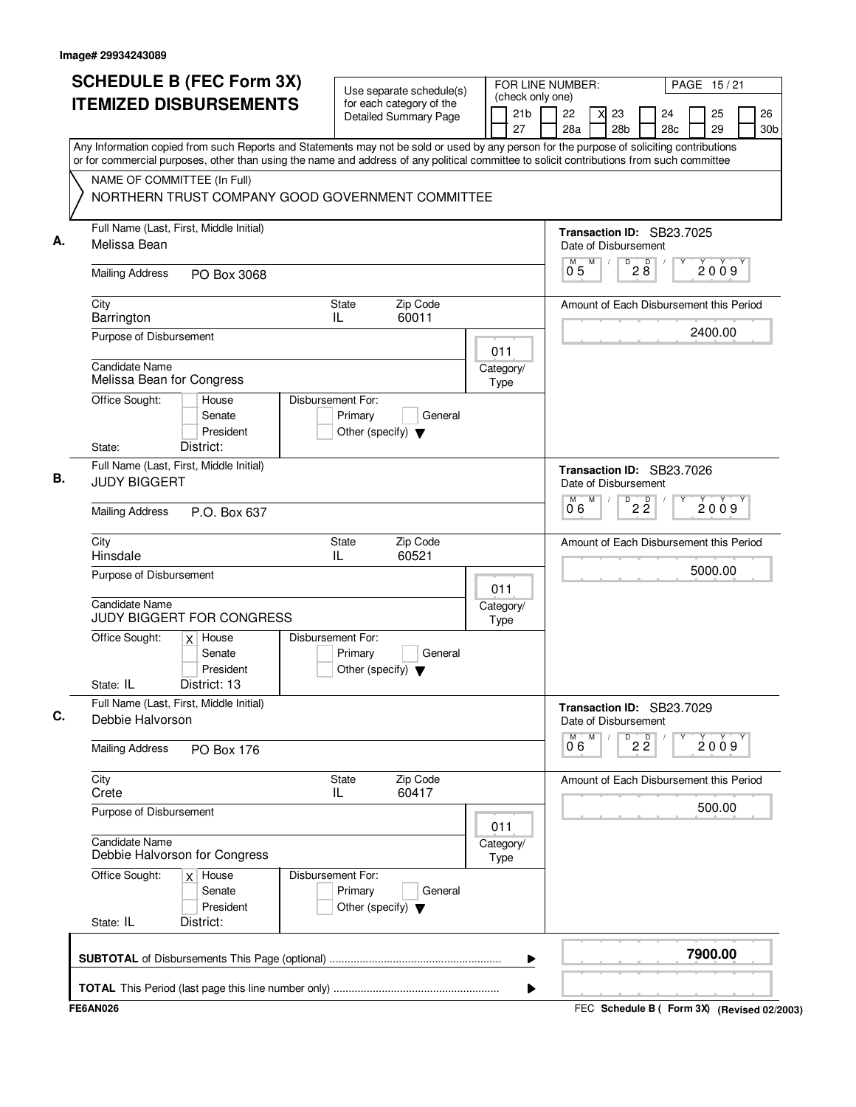| <b>SCHEDULE B (FEC Form 3X)</b><br><b>ITEMIZED DISBURSEMENTS</b>                                                                                                                                                                                                                                                                                                          | Use separate schedule(s)<br>for each category of the<br><b>Detailed Summary Page</b> | (check only one)<br>21 <sub>b</sub><br>27 | FOR LINE NUMBER:<br>PAGE 15/21<br>22<br>26<br>23<br>24<br>25<br>28a<br>28 <sub>b</sub><br>28c<br>29<br>30 <sub>b</sub> |
|---------------------------------------------------------------------------------------------------------------------------------------------------------------------------------------------------------------------------------------------------------------------------------------------------------------------------------------------------------------------------|--------------------------------------------------------------------------------------|-------------------------------------------|------------------------------------------------------------------------------------------------------------------------|
| Any Information copied from such Reports and Statements may not be sold or used by any person for the purpose of soliciting contributions<br>or for commercial purposes, other than using the name and address of any political committee to solicit contributions from such committee<br>NAME OF COMMITTEE (In Full)<br>NORTHERN TRUST COMPANY GOOD GOVERNMENT COMMITTEE |                                                                                      |                                           |                                                                                                                        |
| Full Name (Last, First, Middle Initial)<br>А.<br>Melissa Bean                                                                                                                                                                                                                                                                                                             |                                                                                      |                                           | Transaction ID: SB23.7025<br>Date of Disbursement<br>D<br>M<br>$2\stackrel{D}{8}$<br>М<br>2009                         |
| <b>Mailing Address</b><br>PO Box 3068                                                                                                                                                                                                                                                                                                                                     |                                                                                      |                                           | 0 <sub>5</sub>                                                                                                         |
| City<br>Barrington                                                                                                                                                                                                                                                                                                                                                        | Zip Code<br>State<br>60011<br>IL                                                     |                                           | Amount of Each Disbursement this Period                                                                                |
| Purpose of Disbursement                                                                                                                                                                                                                                                                                                                                                   |                                                                                      | 011                                       | 2400.00                                                                                                                |
| <b>Candidate Name</b><br>Melissa Bean for Congress                                                                                                                                                                                                                                                                                                                        |                                                                                      | Category/<br>Type                         |                                                                                                                        |
| Office Sought:<br>House<br>Senate<br>President<br>District:<br>State:                                                                                                                                                                                                                                                                                                     | Disbursement For:<br>Primary<br>General<br>Other (specify) $\blacktriangledown$      |                                           |                                                                                                                        |
| Full Name (Last, First, Middle Initial)<br>В.<br><b>JUDY BIGGERT</b>                                                                                                                                                                                                                                                                                                      |                                                                                      |                                           | Transaction ID: SB23.7026<br>Date of Disbursement                                                                      |
| <b>Mailing Address</b><br>P.O. Box 637                                                                                                                                                                                                                                                                                                                                    |                                                                                      |                                           | $\overline{22}$<br>M<br>М<br>2009<br>0°6                                                                               |
| City<br>Hinsdale                                                                                                                                                                                                                                                                                                                                                          | <b>State</b><br>Zip Code<br>IL<br>60521                                              |                                           | Amount of Each Disbursement this Period                                                                                |
| Purpose of Disbursement<br><b>Candidate Name</b>                                                                                                                                                                                                                                                                                                                          |                                                                                      | 011<br>Category/                          | 5000.00                                                                                                                |
| <b>JUDY BIGGERT FOR CONGRESS</b><br>Office Sought:<br>$x$ House                                                                                                                                                                                                                                                                                                           | Disbursement For:                                                                    | Type                                      |                                                                                                                        |
| Senate<br>President<br>District: 13<br>State: IL                                                                                                                                                                                                                                                                                                                          | Primary<br>General<br>Other (specify) $\blacktriangledown$                           |                                           |                                                                                                                        |
| Full Name (Last, First, Middle Initial)<br>C.<br>Debbie Halvorson                                                                                                                                                                                                                                                                                                         |                                                                                      |                                           | Transaction ID: SB23.7029<br>Date of Disbursement                                                                      |
| <b>Mailing Address</b><br><b>PO Box 176</b>                                                                                                                                                                                                                                                                                                                               |                                                                                      |                                           | M<br>M<br>D<br>$2\frac{D}{2}$<br>2009<br>06                                                                            |
| City<br>Crete                                                                                                                                                                                                                                                                                                                                                             | State<br>Zip Code<br>60417<br>IL                                                     |                                           | Amount of Each Disbursement this Period                                                                                |
| Purpose of Disbursement                                                                                                                                                                                                                                                                                                                                                   |                                                                                      | 011                                       | 500.00                                                                                                                 |
| <b>Candidate Name</b><br>Debbie Halvorson for Congress                                                                                                                                                                                                                                                                                                                    |                                                                                      | Category/<br>Type                         |                                                                                                                        |
| Office Sought:<br>$x$ House<br>Senate<br>President                                                                                                                                                                                                                                                                                                                        | Disbursement For:<br>Primary<br>General<br>Other (specify) $\blacktriangledown$      |                                           |                                                                                                                        |
| State: IL<br>District:                                                                                                                                                                                                                                                                                                                                                    |                                                                                      |                                           |                                                                                                                        |
|                                                                                                                                                                                                                                                                                                                                                                           |                                                                                      | ▶                                         | 7900.00                                                                                                                |
|                                                                                                                                                                                                                                                                                                                                                                           |                                                                                      | ▶                                         |                                                                                                                        |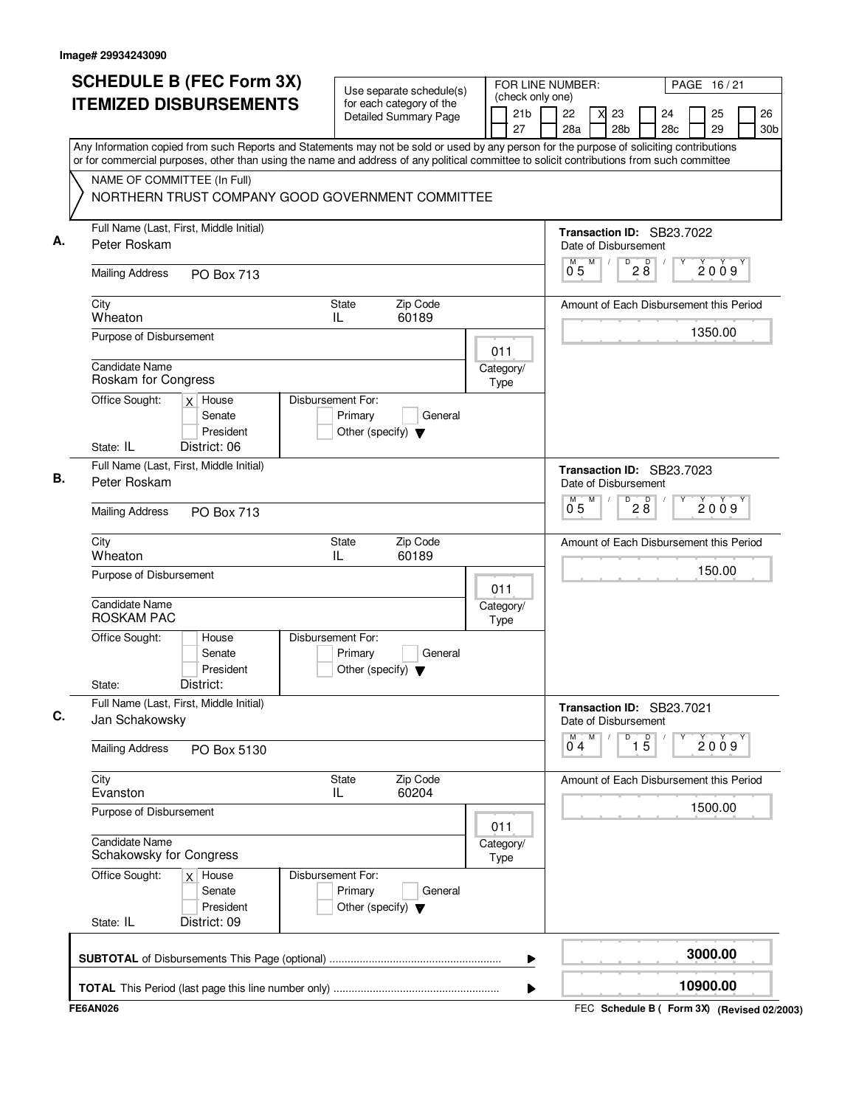| <b>ITEMIZED DISBURSEMENTS</b>                                                                                                                                                                                                                                                                                                                                             | Use separate schedule(s)<br>for each category of the<br><b>Detailed Summary Page</b> | (check only one)      |                    |   |                                                   |                                 |           |          |                       |
|---------------------------------------------------------------------------------------------------------------------------------------------------------------------------------------------------------------------------------------------------------------------------------------------------------------------------------------------------------------------------|--------------------------------------------------------------------------------------|-----------------------|--------------------|---|---------------------------------------------------|---------------------------------|-----------|----------|-----------------------|
|                                                                                                                                                                                                                                                                                                                                                                           |                                                                                      | 21 <sub>b</sub><br>27 | 22<br>28a          |   | 23<br>28 <sub>b</sub>                             |                                 | 24<br>28c | 25<br>29 | 26<br>30 <sub>b</sub> |
| Any Information copied from such Reports and Statements may not be sold or used by any person for the purpose of soliciting contributions<br>or for commercial purposes, other than using the name and address of any political committee to solicit contributions from such committee<br>NAME OF COMMITTEE (In Full)<br>NORTHERN TRUST COMPANY GOOD GOVERNMENT COMMITTEE |                                                                                      |                       |                    |   |                                                   |                                 |           |          |                       |
| Full Name (Last, First, Middle Initial)<br>Peter Roskam                                                                                                                                                                                                                                                                                                                   |                                                                                      |                       |                    | M | Transaction ID: SB23.7022<br>Date of Disbursement | $\overline{P}$ 2 $\overline{8}$ |           |          |                       |
| <b>Mailing Address</b><br><b>PO Box 713</b>                                                                                                                                                                                                                                                                                                                               |                                                                                      |                       | 0 <sub>5</sub>     |   |                                                   |                                 |           | 2009     |                       |
| City<br>Wheaton                                                                                                                                                                                                                                                                                                                                                           | Zip Code<br>State<br>60189<br>IL                                                     |                       |                    |   | Amount of Each Disbursement this Period           |                                 |           |          |                       |
| Purpose of Disbursement                                                                                                                                                                                                                                                                                                                                                   |                                                                                      | 011                   |                    |   |                                                   |                                 |           | 1350.00  |                       |
| Candidate Name<br>Roskam for Congress                                                                                                                                                                                                                                                                                                                                     |                                                                                      | Category/<br>Type     |                    |   |                                                   |                                 |           |          |                       |
| Office Sought:<br>$x$ House<br>Senate<br>President                                                                                                                                                                                                                                                                                                                        | Disbursement For:<br>Primary<br>General<br>Other (specify) $\blacktriangledown$      |                       |                    |   |                                                   |                                 |           |          |                       |
| District: 06<br>State: IL<br>Full Name (Last, First, Middle Initial)                                                                                                                                                                                                                                                                                                      |                                                                                      |                       |                    |   | Transaction ID: SB23.7023                         |                                 |           |          |                       |
| Peter Roskam                                                                                                                                                                                                                                                                                                                                                              |                                                                                      |                       |                    | M | Date of Disbursement<br>D                         |                                 |           |          |                       |
| <b>Mailing Address</b><br><b>PO Box 713</b>                                                                                                                                                                                                                                                                                                                               |                                                                                      |                       | $\overline{0}^M$ 5 |   |                                                   | 28                              |           | 2009     |                       |
| City<br>Wheaton                                                                                                                                                                                                                                                                                                                                                           | Zip Code<br><b>State</b><br>60189<br>IL                                              |                       |                    |   | Amount of Each Disbursement this Period           |                                 |           |          |                       |
| Purpose of Disbursement                                                                                                                                                                                                                                                                                                                                                   |                                                                                      | 011                   |                    |   |                                                   |                                 |           | 150.00   |                       |
| <b>Candidate Name</b><br><b>ROSKAM PAC</b>                                                                                                                                                                                                                                                                                                                                |                                                                                      | Category/<br>Type     |                    |   |                                                   |                                 |           |          |                       |
| Office Sought:<br>House<br>Senate<br>President<br>District:<br>State:                                                                                                                                                                                                                                                                                                     | Disbursement For:<br>Primary<br>General<br>Other (specify) $\blacktriangledown$      |                       |                    |   |                                                   |                                 |           |          |                       |
| Full Name (Last, First, Middle Initial)<br>Jan Schakowsky                                                                                                                                                                                                                                                                                                                 |                                                                                      |                       |                    |   | Transaction ID: SB23.7021<br>Date of Disbursement |                                 |           |          |                       |
| <b>Mailing Address</b><br>PO Box 5130                                                                                                                                                                                                                                                                                                                                     |                                                                                      |                       | м<br>04            | M | D                                                 | $\overline{15}$                 |           | 2009     |                       |
| City<br>Evanston                                                                                                                                                                                                                                                                                                                                                          | Zip Code<br><b>State</b><br>60204<br>IL                                              |                       |                    |   | Amount of Each Disbursement this Period           |                                 |           |          |                       |
| Purpose of Disbursement                                                                                                                                                                                                                                                                                                                                                   |                                                                                      | 011                   |                    |   |                                                   |                                 |           | 1500.00  |                       |
| <b>Candidate Name</b><br>Schakowsky for Congress                                                                                                                                                                                                                                                                                                                          |                                                                                      | Category/<br>Type     |                    |   |                                                   |                                 |           |          |                       |
| Office Sought:<br>$x \mid$ House<br>Senate<br>President<br>District: 09<br>State: IL                                                                                                                                                                                                                                                                                      | Disbursement For:<br>Primary<br>General<br>Other (specify) $\blacktriangledown$      |                       |                    |   |                                                   |                                 |           |          |                       |
|                                                                                                                                                                                                                                                                                                                                                                           |                                                                                      | ▶                     |                    |   |                                                   |                                 |           | 3000.00  |                       |
|                                                                                                                                                                                                                                                                                                                                                                           |                                                                                      |                       |                    |   |                                                   |                                 |           | 10900.00 |                       |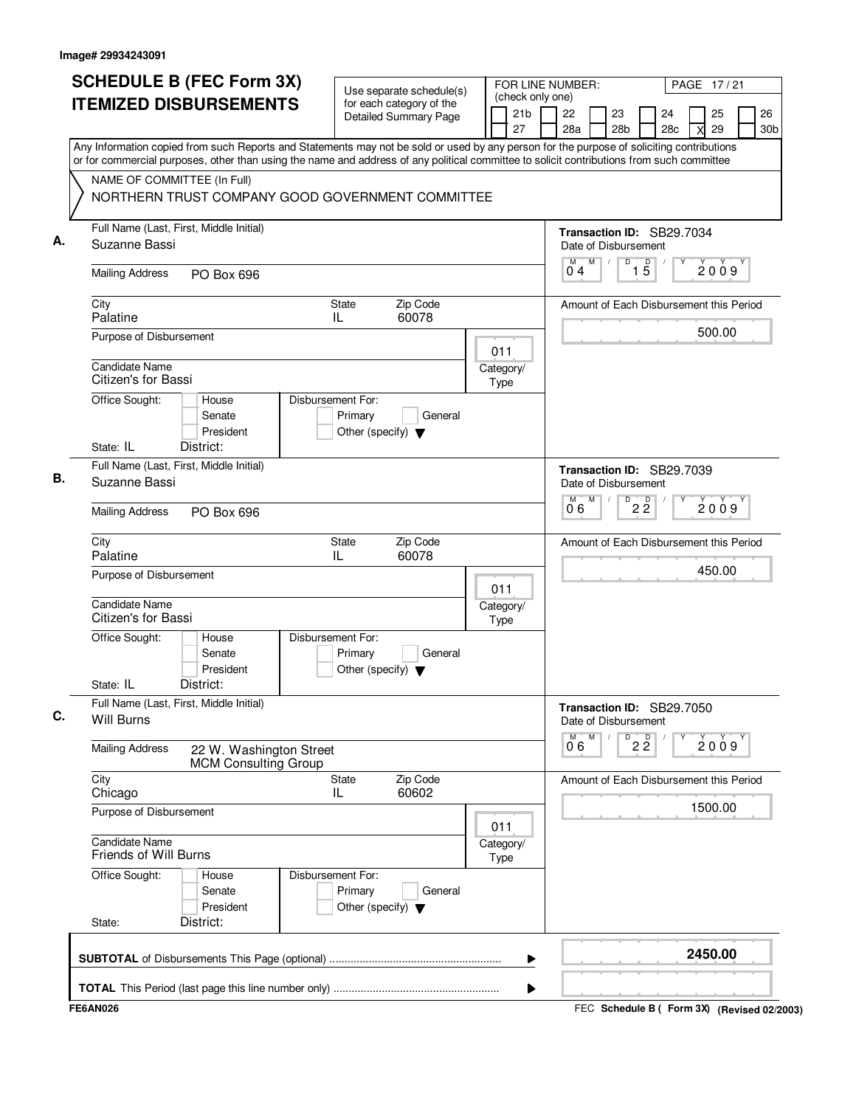|    | <b>SCHEDULE B (FEC Form 3X)</b>                                                                                                                                                                                                                                                        | Use separate schedule(s)                                                        |      | FOR LINE NUMBER:<br>(check only one) |           |   |                              |                   |                                         |   | PAGE 17/21 |                       |
|----|----------------------------------------------------------------------------------------------------------------------------------------------------------------------------------------------------------------------------------------------------------------------------------------|---------------------------------------------------------------------------------|------|--------------------------------------|-----------|---|------------------------------|-------------------|-----------------------------------------|---|------------|-----------------------|
|    | <b>ITEMIZED DISBURSEMENTS</b>                                                                                                                                                                                                                                                          | for each category of the<br><b>Detailed Summary Page</b>                        |      | 21 <sub>b</sub><br>27                | 22<br>28a |   | 23<br>28 <sub>b</sub>        |                   | 24<br>28 <sub>c</sub>                   | X | 25<br>29   | 26<br>30 <sub>b</sub> |
|    | Any Information copied from such Reports and Statements may not be sold or used by any person for the purpose of soliciting contributions<br>or for commercial purposes, other than using the name and address of any political committee to solicit contributions from such committee |                                                                                 |      |                                      |           |   |                              |                   |                                         |   |            |                       |
|    | NAME OF COMMITTEE (In Full)<br>NORTHERN TRUST COMPANY GOOD GOVERNMENT COMMITTEE                                                                                                                                                                                                        |                                                                                 |      |                                      |           |   |                              |                   |                                         |   |            |                       |
| А. | Full Name (Last, First, Middle Initial)<br>Suzanne Bassi                                                                                                                                                                                                                               |                                                                                 |      |                                      |           |   | Date of Disbursement         |                   | Transaction ID: SB29.7034               |   |            |                       |
|    | <b>Mailing Address</b><br>PO Box 696                                                                                                                                                                                                                                                   |                                                                                 |      |                                      | M<br>04   | M | $\overline{D}$<br>$\sqrt{2}$ | $\overline{1\,5}$ |                                         |   | 2009       |                       |
|    | City<br>Palatine                                                                                                                                                                                                                                                                       | Zip Code<br>State<br>60078<br>IL                                                |      |                                      |           |   |                              |                   | Amount of Each Disbursement this Period |   |            |                       |
|    | Purpose of Disbursement                                                                                                                                                                                                                                                                |                                                                                 | 011  |                                      |           |   |                              |                   |                                         |   | 500.00     |                       |
|    | Candidate Name<br>Citizen's for Bassi                                                                                                                                                                                                                                                  |                                                                                 | Type | Category/                            |           |   |                              |                   |                                         |   |            |                       |
|    | Office Sought:<br>House<br>Senate<br>President                                                                                                                                                                                                                                         | Disbursement For:<br>Primary<br>General<br>Other (specify) $\blacktriangledown$ |      |                                      |           |   |                              |                   |                                         |   |            |                       |
|    | State: IL<br>District:<br>Full Name (Last, First, Middle Initial)                                                                                                                                                                                                                      |                                                                                 |      |                                      |           |   |                              |                   | Transaction ID: SB29.7039               |   |            |                       |
| В. | Suzanne Bassi                                                                                                                                                                                                                                                                          |                                                                                 |      |                                      |           |   | Date of Disbursement         |                   |                                         |   |            |                       |
|    | <b>Mailing Address</b><br>PO Box 696                                                                                                                                                                                                                                                   |                                                                                 |      |                                      | м<br>0.6  | M | D                            | $2\overline{2}$   |                                         |   | 2009       |                       |
|    | City<br>Palatine                                                                                                                                                                                                                                                                       | Zip Code<br><b>State</b><br>IL<br>60078                                         |      |                                      |           |   |                              |                   | Amount of Each Disbursement this Period |   |            |                       |
|    | Purpose of Disbursement                                                                                                                                                                                                                                                                |                                                                                 | 011  |                                      |           |   |                              |                   |                                         |   | 450.00     |                       |
|    | Candidate Name<br>Citizen's for Bassi                                                                                                                                                                                                                                                  |                                                                                 | Type | Category/                            |           |   |                              |                   |                                         |   |            |                       |
|    | Office Sought:<br>House<br>Senate<br>President                                                                                                                                                                                                                                         | Disbursement For:<br>Primary<br>General<br>Other (specify) $\blacktriangledown$ |      |                                      |           |   |                              |                   |                                         |   |            |                       |
|    | State: IL<br>District:                                                                                                                                                                                                                                                                 |                                                                                 |      |                                      |           |   |                              |                   |                                         |   |            |                       |
| C. | Full Name (Last, First, Middle Initial)<br><b>Will Burns</b>                                                                                                                                                                                                                           |                                                                                 |      |                                      |           |   | Date of Disbursement         |                   | Transaction ID: SB29.7050               |   |            |                       |
|    | <b>Mailing Address</b><br>22 W. Washington Street<br><b>MCM Consulting Group</b>                                                                                                                                                                                                       |                                                                                 |      |                                      | М<br>06   | M | D                            | $2\frac{D}{2}$    |                                         |   | 2009       |                       |
|    | City<br>Chicago                                                                                                                                                                                                                                                                        | State<br>Zip Code<br>IL.<br>60602                                               |      |                                      |           |   |                              |                   | Amount of Each Disbursement this Period |   |            |                       |
|    | Purpose of Disbursement                                                                                                                                                                                                                                                                |                                                                                 | 011  |                                      |           |   |                              |                   |                                         |   | 1500.00    |                       |
|    | <b>Candidate Name</b><br>Friends of Will Burns                                                                                                                                                                                                                                         |                                                                                 | Type | Category/                            |           |   |                              |                   |                                         |   |            |                       |
|    | Office Sought:<br>House<br>Senate<br>President                                                                                                                                                                                                                                         | Disbursement For:<br>Primary<br>General<br>Other (specify) $\blacktriangledown$ |      |                                      |           |   |                              |                   |                                         |   |            |                       |
|    | District:<br>State:                                                                                                                                                                                                                                                                    |                                                                                 |      |                                      |           |   |                              |                   |                                         |   |            |                       |
|    |                                                                                                                                                                                                                                                                                        |                                                                                 |      | ▶                                    |           |   |                              |                   |                                         |   | 2450.00    |                       |
|    |                                                                                                                                                                                                                                                                                        |                                                                                 |      | ▶                                    |           |   |                              |                   |                                         |   |            |                       |
|    |                                                                                                                                                                                                                                                                                        |                                                                                 |      |                                      |           |   |                              |                   |                                         |   |            |                       |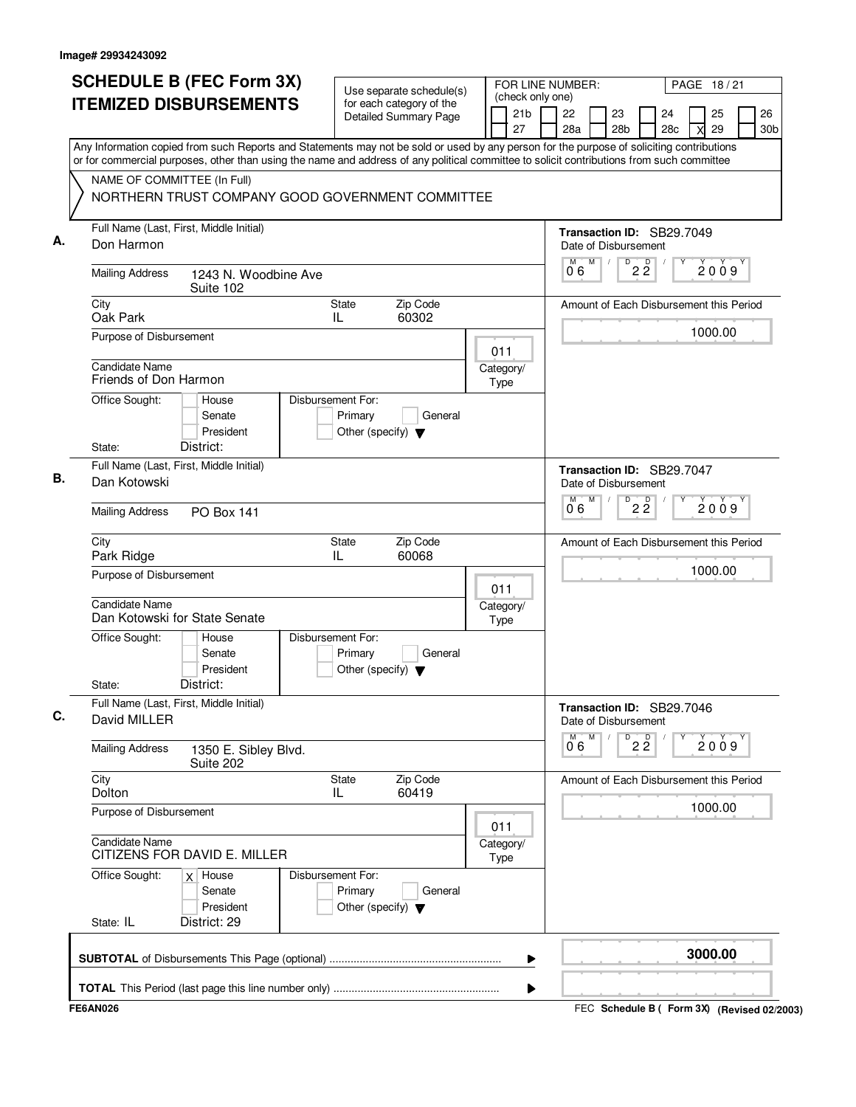|    |                                                | <b>SCHEDULE B (FEC Form 3X)</b>                                                                                                                                                                                                                                                        |                    |                                                 | Use separate schedule(s)                                 |      |           | (check only one) | FOR LINE NUMBER:     |   |                           |                 |                                         |   | PAGE 18/21 |                       |
|----|------------------------------------------------|----------------------------------------------------------------------------------------------------------------------------------------------------------------------------------------------------------------------------------------------------------------------------------------|--------------------|-------------------------------------------------|----------------------------------------------------------|------|-----------|------------------|----------------------|---|---------------------------|-----------------|-----------------------------------------|---|------------|-----------------------|
|    |                                                | <b>ITEMIZED DISBURSEMENTS</b>                                                                                                                                                                                                                                                          |                    |                                                 | for each category of the<br><b>Detailed Summary Page</b> |      | 27        | 21 <sub>b</sub>  | 22<br>28a            |   | 23<br>28 <sub>b</sub>     |                 | 24<br>28c                               | X | 25<br>29   | 26<br>30 <sub>b</sub> |
|    |                                                | Any Information copied from such Reports and Statements may not be sold or used by any person for the purpose of soliciting contributions<br>or for commercial purposes, other than using the name and address of any political committee to solicit contributions from such committee |                    |                                                 |                                                          |      |           |                  |                      |   |                           |                 |                                         |   |            |                       |
|    | NAME OF COMMITTEE (In Full)                    |                                                                                                                                                                                                                                                                                        |                    |                                                 |                                                          |      |           |                  |                      |   |                           |                 |                                         |   |            |                       |
|    |                                                | NORTHERN TRUST COMPANY GOOD GOVERNMENT COMMITTEE                                                                                                                                                                                                                                       |                    |                                                 |                                                          |      |           |                  |                      |   |                           |                 |                                         |   |            |                       |
| А. | Don Harmon                                     | Full Name (Last, First, Middle Initial)                                                                                                                                                                                                                                                |                    |                                                 |                                                          |      |           |                  | Date of Disbursement |   |                           |                 | Transaction ID: SB29.7049               |   |            |                       |
|    | <b>Mailing Address</b>                         | 1243 N. Woodbine Ave<br>Suite 102                                                                                                                                                                                                                                                      |                    |                                                 |                                                          |      |           |                  | M<br>06              | M | D<br>$\sqrt{ }$           | $2\overline{2}$ |                                         |   | 2009       |                       |
|    | City<br>Oak Park                               |                                                                                                                                                                                                                                                                                        | State<br>IL        |                                                 | Zip Code<br>60302                                        |      |           |                  |                      |   |                           |                 | Amount of Each Disbursement this Period |   |            |                       |
|    | Purpose of Disbursement                        |                                                                                                                                                                                                                                                                                        |                    |                                                 |                                                          | 011  |           |                  |                      |   |                           |                 |                                         |   | 1000.00    |                       |
|    | <b>Candidate Name</b><br>Friends of Don Harmon |                                                                                                                                                                                                                                                                                        |                    |                                                 |                                                          | Type | Category/ |                  |                      |   |                           |                 |                                         |   |            |                       |
|    | Office Sought:                                 | House<br>Senate<br>President                                                                                                                                                                                                                                                           | Disbursement For:  | Primary<br>Other (specify) $\blacktriangledown$ | General                                                  |      |           |                  |                      |   |                           |                 |                                         |   |            |                       |
|    | State:                                         | District:<br>Full Name (Last, First, Middle Initial)                                                                                                                                                                                                                                   |                    |                                                 |                                                          |      |           |                  |                      |   |                           |                 |                                         |   |            |                       |
| В. | Dan Kotowski                                   |                                                                                                                                                                                                                                                                                        |                    |                                                 |                                                          |      |           |                  |                      |   | Date of Disbursement      |                 | Transaction ID: SB29.7047               |   |            |                       |
|    | <b>Mailing Address</b>                         | <b>PO Box 141</b>                                                                                                                                                                                                                                                                      |                    |                                                 |                                                          |      |           |                  | M<br>0.6             | M | D                         | $2\overline{2}$ |                                         |   | 2009       |                       |
|    | City<br>Park Ridge                             |                                                                                                                                                                                                                                                                                        | <b>State</b><br>IL |                                                 | Zip Code<br>60068                                        |      |           |                  |                      |   |                           |                 | Amount of Each Disbursement this Period |   |            |                       |
|    | Purpose of Disbursement                        |                                                                                                                                                                                                                                                                                        |                    |                                                 |                                                          | 011  |           |                  |                      |   |                           |                 |                                         |   | 1000.00    |                       |
|    | <b>Candidate Name</b>                          | Dan Kotowski for State Senate                                                                                                                                                                                                                                                          |                    |                                                 |                                                          | Type | Category/ |                  |                      |   |                           |                 |                                         |   |            |                       |
|    | Office Sought:                                 | House<br>Senate<br>President                                                                                                                                                                                                                                                           | Disbursement For:  | Primary<br>Other (specify) $\blacktriangledown$ | General                                                  |      |           |                  |                      |   |                           |                 |                                         |   |            |                       |
| C. | State:                                         | District:<br>Full Name (Last, First, Middle Initial)                                                                                                                                                                                                                                   |                    |                                                 |                                                          |      |           |                  |                      |   |                           |                 | Transaction ID: SB29.7046               |   |            |                       |
|    | David MILLER                                   |                                                                                                                                                                                                                                                                                        |                    |                                                 |                                                          |      |           |                  | М                    | M | Date of Disbursement<br>D |                 |                                         |   |            |                       |
|    | <b>Mailing Address</b>                         | 1350 E. Sibley Blvd.<br>Suite 202                                                                                                                                                                                                                                                      |                    |                                                 |                                                          |      |           |                  | 06                   |   |                           | $2\overline{2}$ |                                         |   | 2009       |                       |
|    | City<br>Dolton                                 |                                                                                                                                                                                                                                                                                        | <b>State</b><br>IL |                                                 | Zip Code<br>60419                                        |      |           |                  |                      |   |                           |                 | Amount of Each Disbursement this Period |   |            |                       |
|    | Purpose of Disbursement                        |                                                                                                                                                                                                                                                                                        |                    |                                                 |                                                          | 011  |           |                  |                      |   |                           |                 |                                         |   | 1000.00    |                       |
|    | <b>Candidate Name</b>                          | CITIZENS FOR DAVID E. MILLER                                                                                                                                                                                                                                                           |                    |                                                 |                                                          | Type | Category/ |                  |                      |   |                           |                 |                                         |   |            |                       |
|    | Office Sought:                                 | $x \mid$ House<br>Senate<br>President                                                                                                                                                                                                                                                  | Disbursement For:  | Primary<br>Other (specify) $\blacktriangledown$ | General                                                  |      |           |                  |                      |   |                           |                 |                                         |   |            |                       |
|    | State: IL                                      | District: 29                                                                                                                                                                                                                                                                           |                    |                                                 |                                                          |      |           |                  |                      |   |                           |                 |                                         |   |            |                       |
|    |                                                |                                                                                                                                                                                                                                                                                        |                    |                                                 |                                                          |      |           | ▶                |                      |   |                           |                 |                                         |   | 3000.00    |                       |
|    |                                                |                                                                                                                                                                                                                                                                                        |                    |                                                 |                                                          |      |           | ▶                |                      |   |                           |                 |                                         |   |            |                       |
|    |                                                |                                                                                                                                                                                                                                                                                        |                    |                                                 |                                                          |      |           |                  |                      |   |                           |                 |                                         |   |            |                       |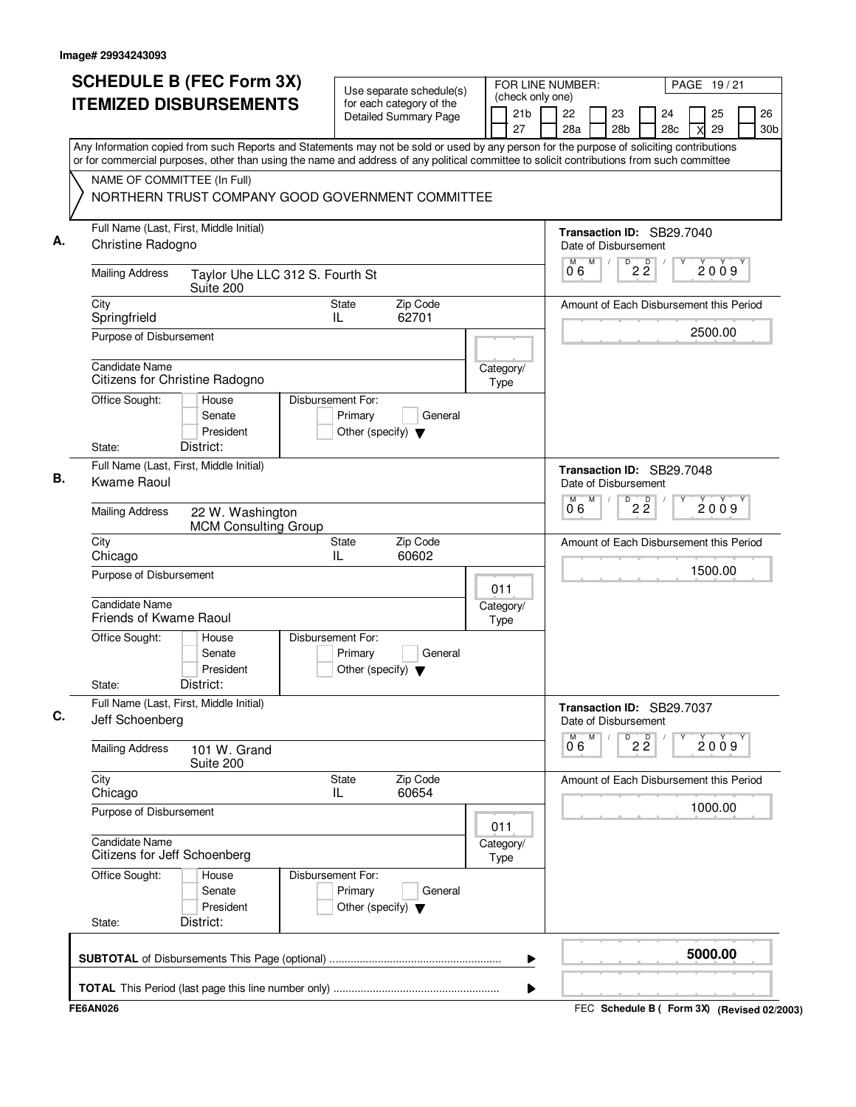| NAME OF COMMITTEE (In Full)<br>Full Name (Last, First, Middle Initial)<br>Christine Radogno<br><b>Mailing Address</b><br>City<br>Springfrield<br>Purpose of Disbursement<br><b>Candidate Name</b><br>Citizens for Christine Radogno<br>Office Sought:<br>State:<br>Full Name (Last, First, Middle Initial)<br>В.<br>Kwame Raoul<br><b>Mailing Address</b><br>City | NORTHERN TRUST COMPANY GOOD GOVERNMENT COMMITTEE<br>Taylor Uhe LLC 312 S. Fourth St<br>Suite 200<br>House<br>Senate<br>President<br>District: | State<br>IL<br>Disbursement For:<br>Primary<br>Other (specify) $\blacktriangledown$ | Zip Code<br>62701<br>General | Category/<br>Type        | Any Information copied from such Reports and Statements may not be sold or used by any person for the purpose of soliciting contributions<br>or for commercial purposes, other than using the name and address of any political committee to solicit contributions from such committee<br>Transaction ID: SB29.7040<br>Date of Disbursement<br>D<br>M<br>$2\,$ $2\,$<br>M<br>$\prime$<br>2009<br>06<br>Amount of Each Disbursement this Period<br>2500.00<br>Transaction ID: SB29.7048 |
|-------------------------------------------------------------------------------------------------------------------------------------------------------------------------------------------------------------------------------------------------------------------------------------------------------------------------------------------------------------------|-----------------------------------------------------------------------------------------------------------------------------------------------|-------------------------------------------------------------------------------------|------------------------------|--------------------------|----------------------------------------------------------------------------------------------------------------------------------------------------------------------------------------------------------------------------------------------------------------------------------------------------------------------------------------------------------------------------------------------------------------------------------------------------------------------------------------|
|                                                                                                                                                                                                                                                                                                                                                                   |                                                                                                                                               |                                                                                     |                              |                          |                                                                                                                                                                                                                                                                                                                                                                                                                                                                                        |
|                                                                                                                                                                                                                                                                                                                                                                   |                                                                                                                                               |                                                                                     |                              |                          |                                                                                                                                                                                                                                                                                                                                                                                                                                                                                        |
|                                                                                                                                                                                                                                                                                                                                                                   |                                                                                                                                               |                                                                                     |                              |                          |                                                                                                                                                                                                                                                                                                                                                                                                                                                                                        |
|                                                                                                                                                                                                                                                                                                                                                                   |                                                                                                                                               |                                                                                     |                              |                          |                                                                                                                                                                                                                                                                                                                                                                                                                                                                                        |
|                                                                                                                                                                                                                                                                                                                                                                   |                                                                                                                                               |                                                                                     |                              |                          |                                                                                                                                                                                                                                                                                                                                                                                                                                                                                        |
|                                                                                                                                                                                                                                                                                                                                                                   |                                                                                                                                               |                                                                                     |                              |                          | Date of Disbursement<br>M<br>D<br>$2\overline{2}$<br>2009                                                                                                                                                                                                                                                                                                                                                                                                                              |
|                                                                                                                                                                                                                                                                                                                                                                   | 22 W. Washington<br><b>MCM Consulting Group</b>                                                                                               |                                                                                     |                              |                          | 0°6                                                                                                                                                                                                                                                                                                                                                                                                                                                                                    |
| Chicago<br>Purpose of Disbursement                                                                                                                                                                                                                                                                                                                                |                                                                                                                                               | <b>State</b><br>IL                                                                  | Zip Code<br>60602            |                          | Amount of Each Disbursement this Period<br>1500.00                                                                                                                                                                                                                                                                                                                                                                                                                                     |
| <b>Candidate Name</b><br>Friends of Kwame Raoul                                                                                                                                                                                                                                                                                                                   |                                                                                                                                               |                                                                                     |                              | 011<br>Category/<br>Type |                                                                                                                                                                                                                                                                                                                                                                                                                                                                                        |
| Office Sought:<br>State:                                                                                                                                                                                                                                                                                                                                          | House<br>Senate<br>President<br>District:                                                                                                     | Disbursement For:<br>Primary<br>Other (specify) $\blacktriangledown$                | General                      |                          |                                                                                                                                                                                                                                                                                                                                                                                                                                                                                        |
| Full Name (Last, First, Middle Initial)<br>Jeff Schoenberg                                                                                                                                                                                                                                                                                                        |                                                                                                                                               |                                                                                     |                              |                          | Transaction ID: SB29.7037<br>Date of Disbursement<br>M<br>M<br>D                                                                                                                                                                                                                                                                                                                                                                                                                       |
| <b>Mailing Address</b>                                                                                                                                                                                                                                                                                                                                            | 101 W. Grand<br>Suite 200                                                                                                                     |                                                                                     |                              |                          | $2\overline{2}$<br>2009<br>06                                                                                                                                                                                                                                                                                                                                                                                                                                                          |
| City<br>Chicago                                                                                                                                                                                                                                                                                                                                                   |                                                                                                                                               | <b>State</b><br>IL                                                                  | Zip Code<br>60654            |                          | Amount of Each Disbursement this Period                                                                                                                                                                                                                                                                                                                                                                                                                                                |
| Purpose of Disbursement<br><b>Candidate Name</b><br>Citizens for Jeff Schoenberg                                                                                                                                                                                                                                                                                  |                                                                                                                                               |                                                                                     |                              | 011<br>Category/<br>Type | 1000.00                                                                                                                                                                                                                                                                                                                                                                                                                                                                                |
| Office Sought:<br>State:                                                                                                                                                                                                                                                                                                                                          | House<br>Senate<br>President<br>District:                                                                                                     | Disbursement For:<br>Primary<br>Other (specify) $\blacktriangledown$                | General                      |                          |                                                                                                                                                                                                                                                                                                                                                                                                                                                                                        |
|                                                                                                                                                                                                                                                                                                                                                                   |                                                                                                                                               |                                                                                     |                              | ▶                        | 5000.00                                                                                                                                                                                                                                                                                                                                                                                                                                                                                |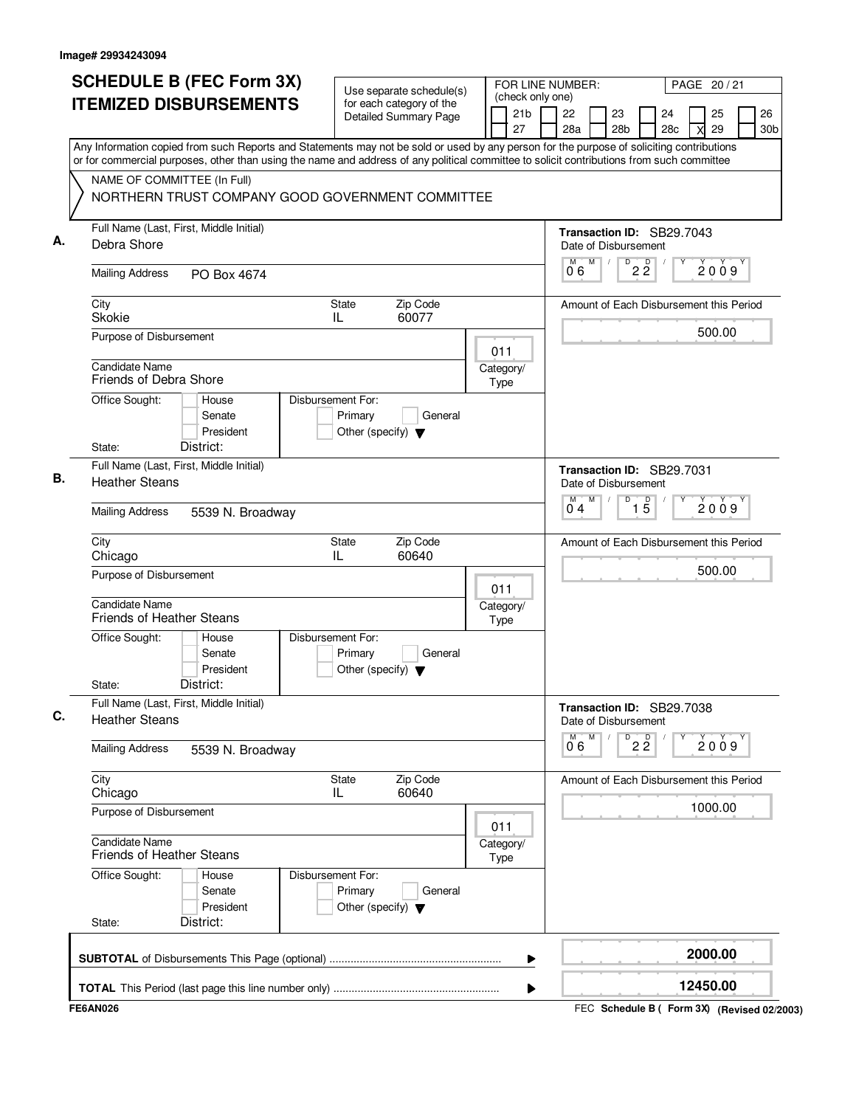| <b>SCHEDULE B (FEC Form 3X)</b>                                                                                                                                                                                                                                                        | Use separate schedule(s)                                                        | FOR LINE NUMBER:                          | PAGE 20 / 21                                                                              |
|----------------------------------------------------------------------------------------------------------------------------------------------------------------------------------------------------------------------------------------------------------------------------------------|---------------------------------------------------------------------------------|-------------------------------------------|-------------------------------------------------------------------------------------------|
| <b>ITEMIZED DISBURSEMENTS</b>                                                                                                                                                                                                                                                          | for each category of the<br><b>Detailed Summary Page</b>                        | (check only one)<br>21 <sub>b</sub><br>27 | 26<br>22<br>23<br>25<br>24<br>28a<br>28 <sub>b</sub><br>28c<br>29<br>30 <sub>b</sub><br>X |
| Any Information copied from such Reports and Statements may not be sold or used by any person for the purpose of soliciting contributions<br>or for commercial purposes, other than using the name and address of any political committee to solicit contributions from such committee |                                                                                 |                                           |                                                                                           |
| NAME OF COMMITTEE (In Full)<br>NORTHERN TRUST COMPANY GOOD GOVERNMENT COMMITTEE                                                                                                                                                                                                        |                                                                                 |                                           |                                                                                           |
| Full Name (Last, First, Middle Initial)<br>Debra Shore                                                                                                                                                                                                                                 |                                                                                 |                                           | Transaction ID: SB29.7043<br>Date of Disbursement                                         |
| <b>Mailing Address</b><br>PO Box 4674                                                                                                                                                                                                                                                  |                                                                                 |                                           | M<br>$\overline{D}$<br>$2\frac{D}{2}$<br>M<br>2009<br>06                                  |
| City<br><b>Skokie</b>                                                                                                                                                                                                                                                                  | Zip Code<br>State<br>60077<br>IL                                                |                                           | Amount of Each Disbursement this Period                                                   |
| Purpose of Disbursement                                                                                                                                                                                                                                                                |                                                                                 | 011                                       | 500.00                                                                                    |
| Candidate Name<br>Friends of Debra Shore                                                                                                                                                                                                                                               |                                                                                 | Category/<br>Type                         |                                                                                           |
| Office Sought:<br>House<br>Senate<br>President<br>District:<br>State:                                                                                                                                                                                                                  | Disbursement For:<br>Primary<br>General<br>Other (specify) $\blacktriangledown$ |                                           |                                                                                           |
| Full Name (Last, First, Middle Initial)<br><b>Heather Steans</b>                                                                                                                                                                                                                       |                                                                                 |                                           | Transaction ID: SB29.7031<br>Date of Disbursement                                         |
| <b>Mailing Address</b><br>5539 N. Broadway                                                                                                                                                                                                                                             |                                                                                 |                                           | M<br>D<br>$\overline{15}$<br>2009<br>04                                                   |
| City<br>Chicago                                                                                                                                                                                                                                                                        | Zip Code<br>State<br>IL<br>60640                                                |                                           | Amount of Each Disbursement this Period                                                   |
| Purpose of Disbursement                                                                                                                                                                                                                                                                |                                                                                 | 011                                       | 500.00                                                                                    |
| Candidate Name<br><b>Friends of Heather Steans</b>                                                                                                                                                                                                                                     |                                                                                 | Category/<br>Type                         |                                                                                           |
| Office Sought:<br>House<br>Senate<br>President<br>District:<br>State:                                                                                                                                                                                                                  | Disbursement For:<br>Primary<br>General<br>Other (specify) $\blacktriangledown$ |                                           |                                                                                           |
| Full Name (Last, First, Middle Initial)<br><b>Heather Steans</b>                                                                                                                                                                                                                       |                                                                                 |                                           | Transaction ID: SB29.7038<br>Date of Disbursement                                         |
| <b>Mailing Address</b><br>5539 N. Broadway                                                                                                                                                                                                                                             |                                                                                 |                                           | M<br>$2\overline{2}$<br>м<br>D<br>2009<br>06                                              |
| City<br>Chicago                                                                                                                                                                                                                                                                        | Zip Code<br>State<br>60640<br>IL                                                |                                           | Amount of Each Disbursement this Period                                                   |
| Purpose of Disbursement                                                                                                                                                                                                                                                                |                                                                                 | 011                                       | 1000.00                                                                                   |
| <b>Candidate Name</b><br><b>Friends of Heather Steans</b>                                                                                                                                                                                                                              |                                                                                 | Category/<br>Type                         |                                                                                           |
| Office Sought:<br>House<br>Senate<br>President<br>District:<br>State:                                                                                                                                                                                                                  | Disbursement For:<br>Primary<br>General<br>Other (specify) $\blacktriangledown$ |                                           |                                                                                           |
|                                                                                                                                                                                                                                                                                        |                                                                                 | ▶                                         | 2000.00                                                                                   |
|                                                                                                                                                                                                                                                                                        |                                                                                 | ▶                                         | 12450.00                                                                                  |